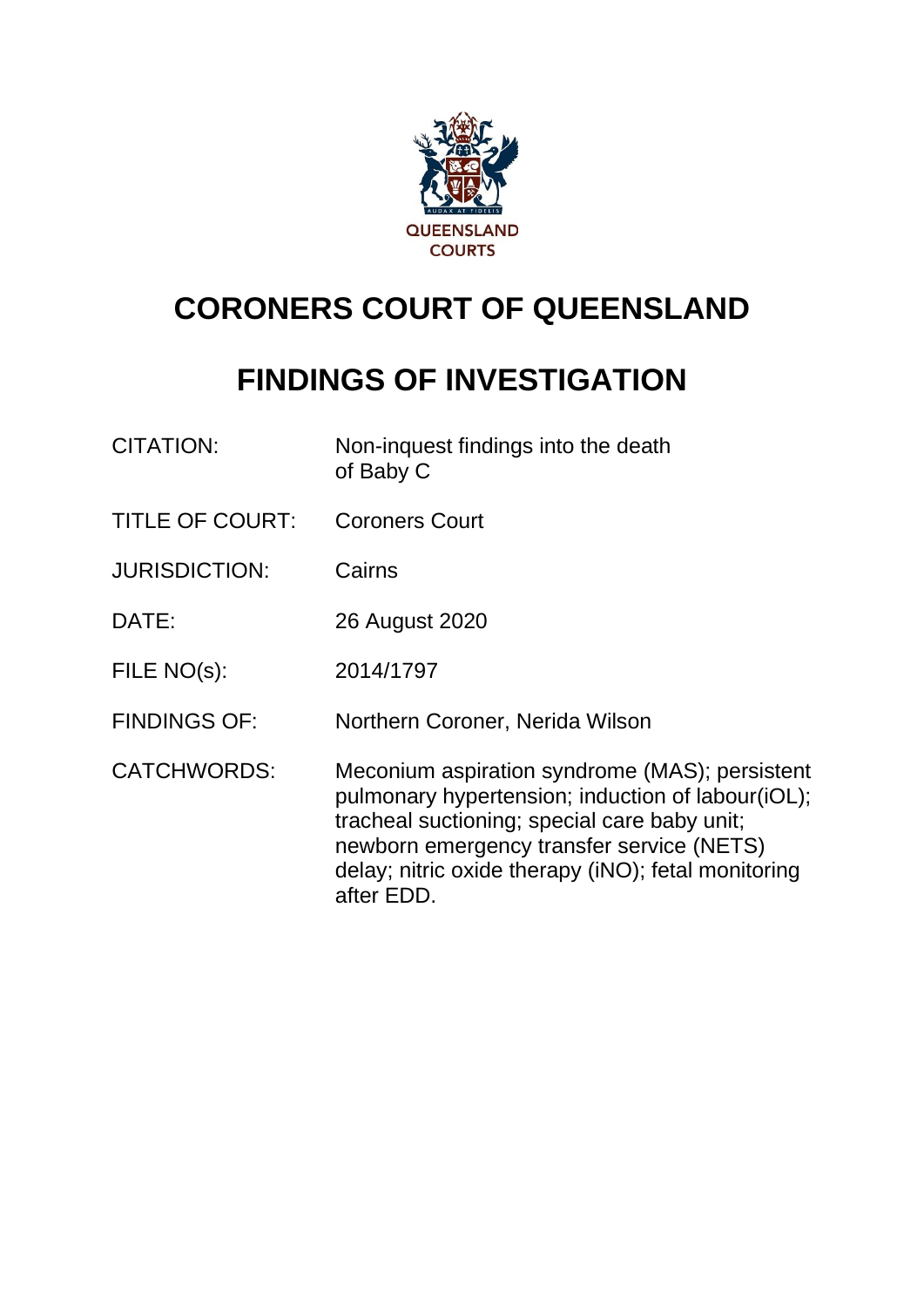

# **CORONERS COURT OF QUEENSLAND**

## **FINDINGS OF INVESTIGATION**

| <b>CITATION:</b>       | Non-inquest findings into the death<br>of Baby C                                                                                                                                                                                                                      |
|------------------------|-----------------------------------------------------------------------------------------------------------------------------------------------------------------------------------------------------------------------------------------------------------------------|
| <b>TITLE OF COURT:</b> | <b>Coroners Court</b>                                                                                                                                                                                                                                                 |
| <b>JURISDICTION:</b>   | Cairns                                                                                                                                                                                                                                                                |
| DATE:                  | 26 August 2020                                                                                                                                                                                                                                                        |
| FILE NO(s):            | 2014/1797                                                                                                                                                                                                                                                             |
| <b>FINDINGS OF:</b>    | Northern Coroner, Nerida Wilson                                                                                                                                                                                                                                       |
| <b>CATCHWORDS:</b>     | Meconium aspiration syndrome (MAS); persistent<br>pulmonary hypertension; induction of labour(iOL);<br>tracheal suctioning; special care baby unit;<br>newborn emergency transfer service (NETS)<br>delay; nitric oxide therapy (iNO); fetal monitoring<br>after EDD. |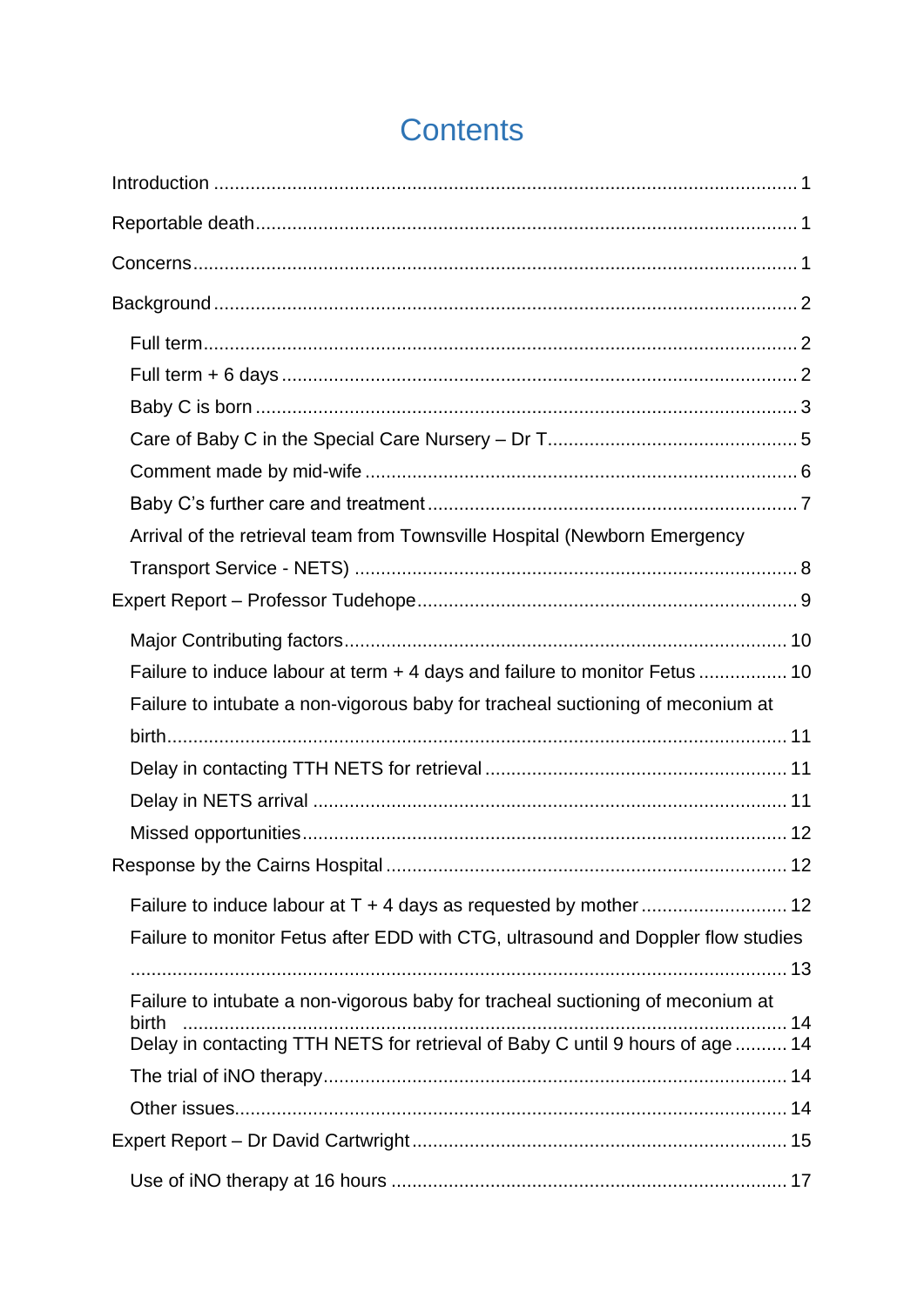| Arrival of the retrieval team from Townsville Hospital (Newborn Emergency               |
|-----------------------------------------------------------------------------------------|
|                                                                                         |
|                                                                                         |
|                                                                                         |
| Failure to induce labour at term + 4 days and failure to monitor Fetus  10              |
| Failure to intubate a non-vigorous baby for tracheal suctioning of meconium at          |
|                                                                                         |
|                                                                                         |
|                                                                                         |
|                                                                                         |
|                                                                                         |
|                                                                                         |
| Failure to monitor Fetus after EDD with CTG, ultrasound and Doppler flow studies        |
|                                                                                         |
| Failure to intubate a non-vigorous baby for tracheal suctioning of meconium at<br>birth |
| Delay in contacting TTH NETS for retrieval of Baby C until 9 hours of age  14           |
|                                                                                         |
|                                                                                         |
|                                                                                         |
|                                                                                         |

## **Contents**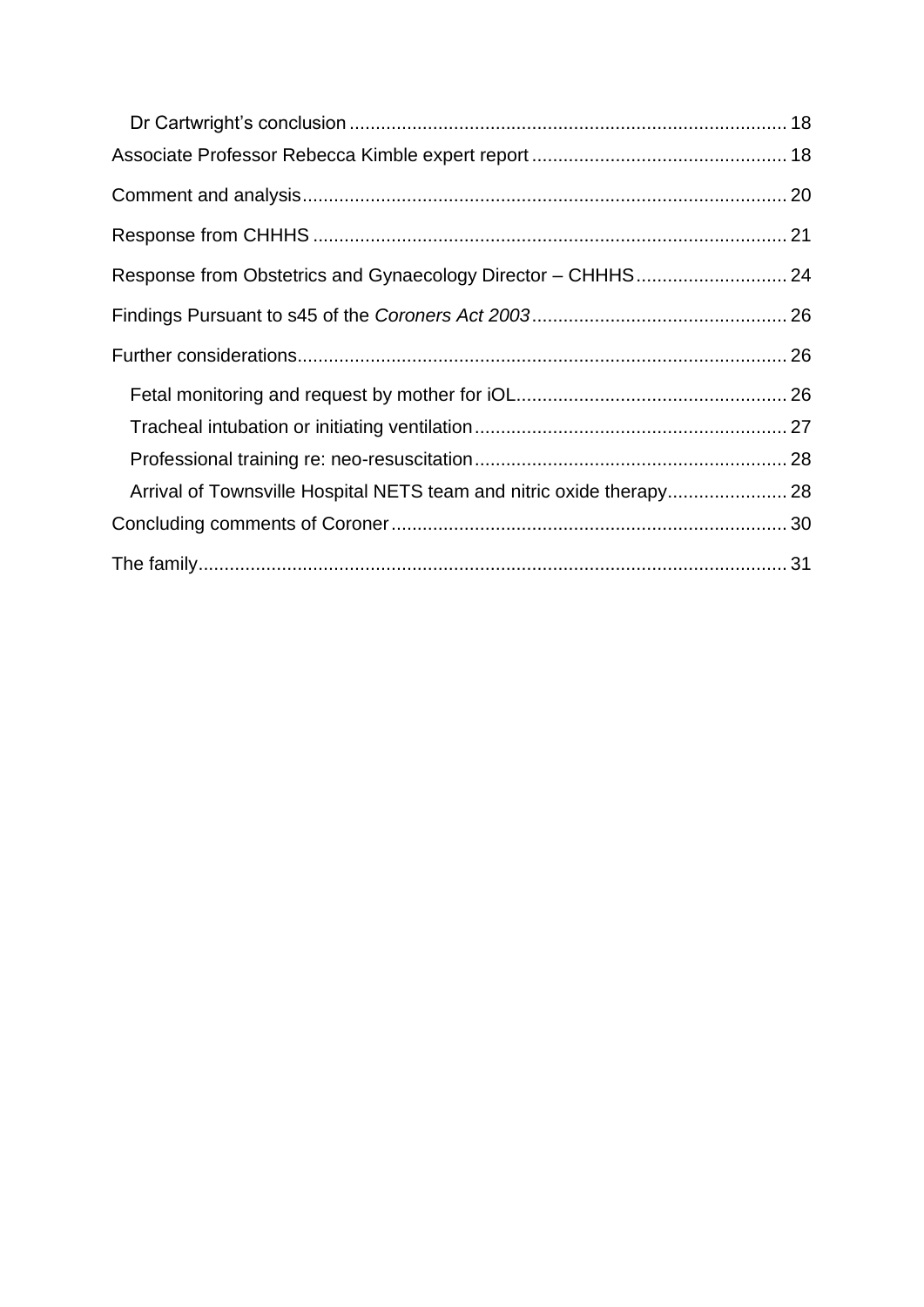| Arrival of Townsville Hospital NETS team and nitric oxide therapy 28 |  |
|----------------------------------------------------------------------|--|
|                                                                      |  |
|                                                                      |  |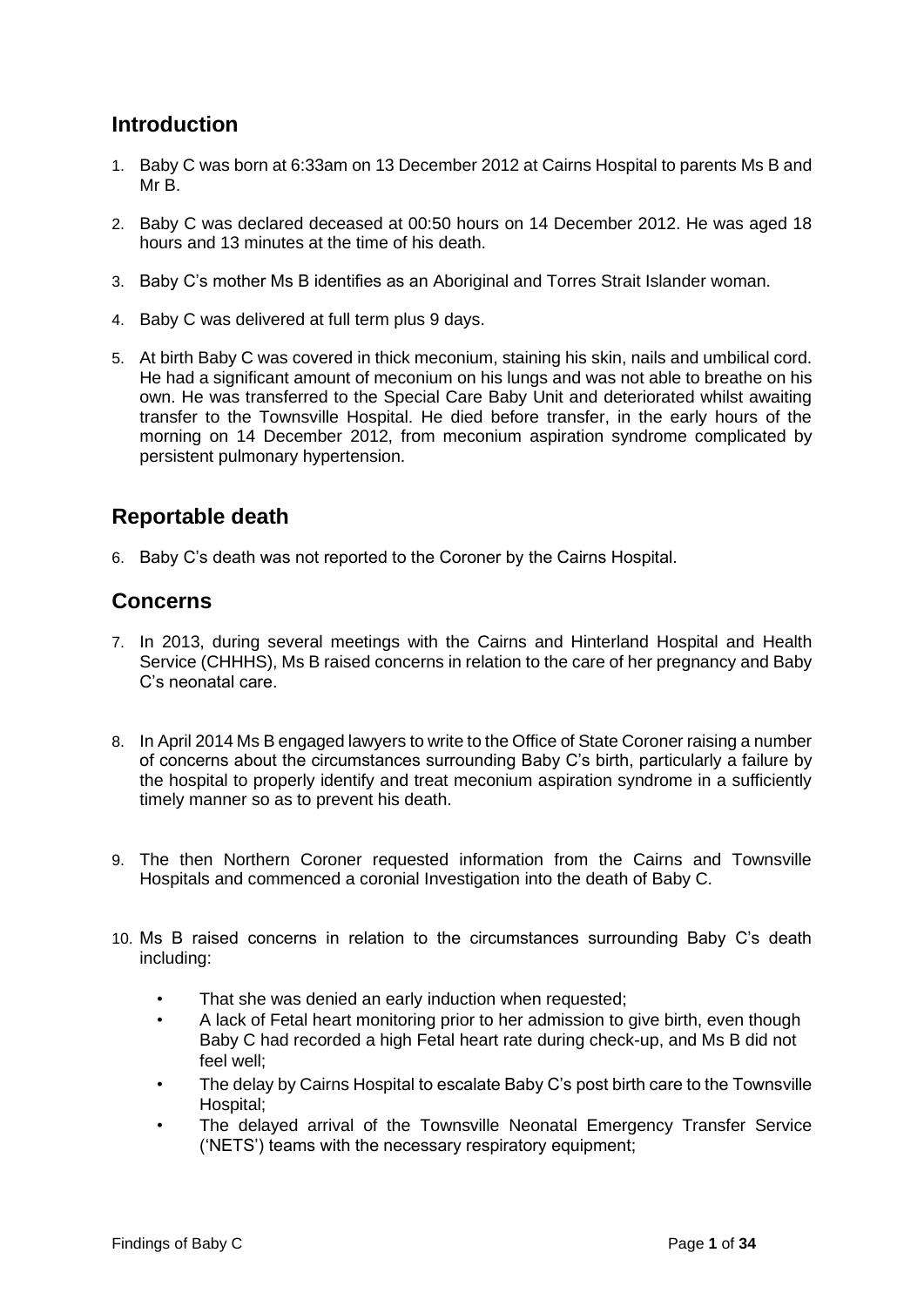## <span id="page-3-0"></span>**Introduction**

- 1. Baby C was born at 6:33am on 13 December 2012 at Cairns Hospital to parents Ms B and Mr B.
- 2. Baby C was declared deceased at 00:50 hours on 14 December 2012. He was aged 18 hours and 13 minutes at the time of his death.
- 3. Baby C's mother Ms B identifies as an Aboriginal and Torres Strait Islander woman.
- 4. Baby C was delivered at full term plus 9 days.
- 5. At birth Baby C was covered in thick meconium, staining his skin, nails and umbilical cord. He had a significant amount of meconium on his lungs and was not able to breathe on his own. He was transferred to the Special Care Baby Unit and deteriorated whilst awaiting transfer to the Townsville Hospital. He died before transfer, in the early hours of the morning on 14 December 2012, from meconium aspiration syndrome complicated by persistent pulmonary hypertension.

## <span id="page-3-1"></span>**Reportable death**

6. Baby C's death was not reported to the Coroner by the Cairns Hospital.

## <span id="page-3-2"></span>**Concerns**

- 7. In 2013, during several meetings with the Cairns and Hinterland Hospital and Health Service (CHHHS), Ms B raised concerns in relation to the care of her pregnancy and Baby C's neonatal care.
- 8. In April 2014 Ms B engaged lawyers to write to the Office of State Coroner raising a number of concerns about the circumstances surrounding Baby C's birth, particularly a failure by the hospital to properly identify and treat meconium aspiration syndrome in a sufficiently timely manner so as to prevent his death.
- 9. The then Northern Coroner requested information from the Cairns and Townsville Hospitals and commenced a coronial Investigation into the death of Baby C.
- 10. Ms B raised concerns in relation to the circumstances surrounding Baby C's death including:
	- That she was denied an early induction when requested:
	- A lack of Fetal heart monitoring prior to her admission to give birth, even though Baby C had recorded a high Fetal heart rate during check-up, and Ms B did not feel well;
	- The delay by Cairns Hospital to escalate Baby C's post birth care to the Townsville Hospital;
	- The delayed arrival of the Townsville Neonatal Emergency Transfer Service ('NETS') teams with the necessary respiratory equipment;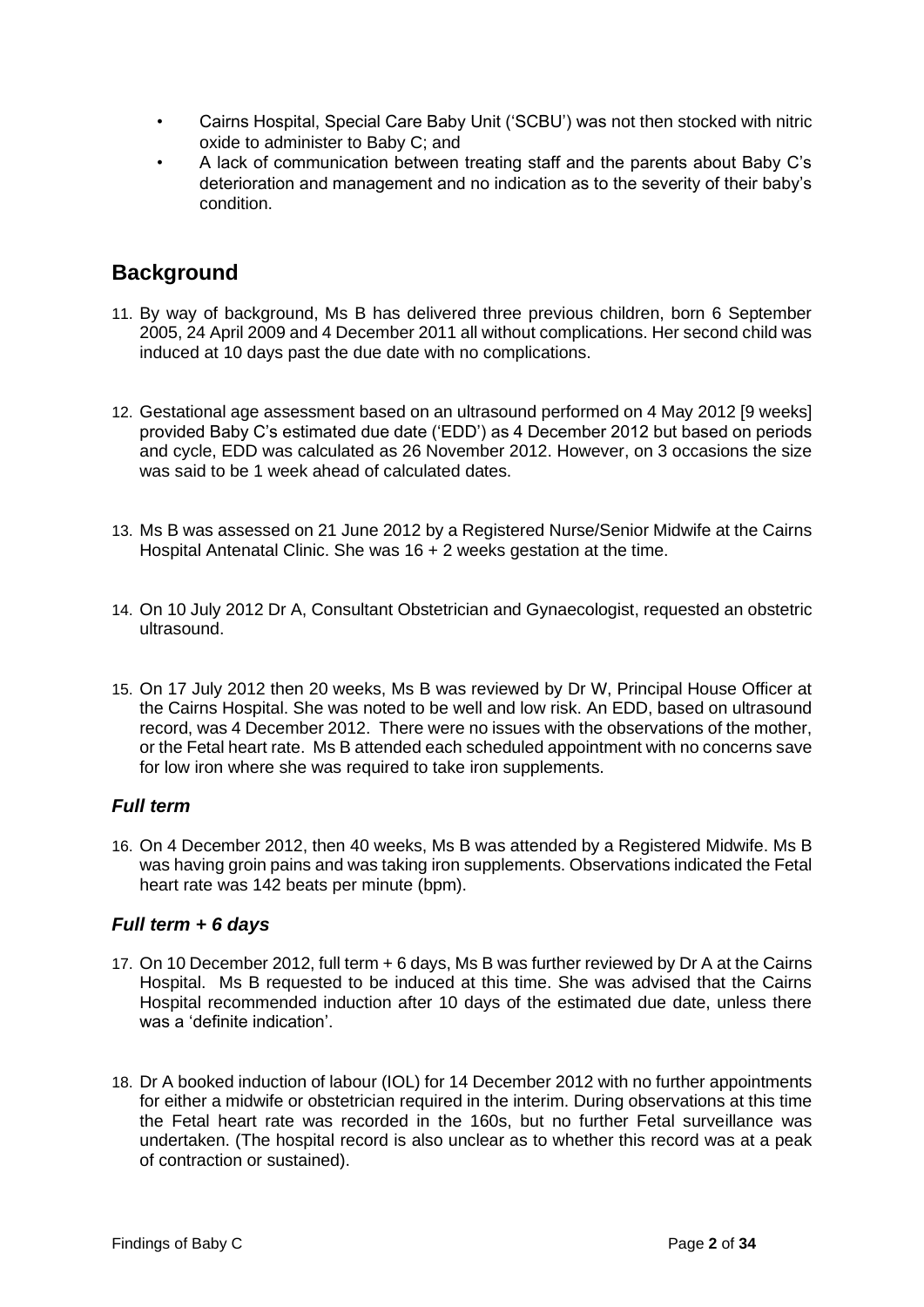- Cairns Hospital, Special Care Baby Unit ('SCBU') was not then stocked with nitric oxide to administer to Baby C; and
- A lack of communication between treating staff and the parents about Baby C's deterioration and management and no indication as to the severity of their baby's condition.

## <span id="page-4-0"></span>**Background**

- 11. By way of background, Ms B has delivered three previous children, born 6 September 2005, 24 April 2009 and 4 December 2011 all without complications. Her second child was induced at 10 days past the due date with no complications.
- 12. Gestational age assessment based on an ultrasound performed on 4 May 2012 [9 weeks] provided Baby C's estimated due date ('EDD') as 4 December 2012 but based on periods and cycle, EDD was calculated as 26 November 2012. However, on 3 occasions the size was said to be 1 week ahead of calculated dates.
- 13. Ms B was assessed on 21 June 2012 by a Registered Nurse/Senior Midwife at the Cairns Hospital Antenatal Clinic. She was 16 + 2 weeks gestation at the time.
- 14. On 10 July 2012 Dr A, Consultant Obstetrician and Gynaecologist, requested an obstetric ultrasound.
- 15. On 17 July 2012 then 20 weeks, Ms B was reviewed by Dr W, Principal House Officer at the Cairns Hospital. She was noted to be well and low risk. An EDD, based on ultrasound record, was 4 December 2012. There were no issues with the observations of the mother, or the Fetal heart rate. Ms B attended each scheduled appointment with no concerns save for low iron where she was required to take iron supplements.

#### <span id="page-4-1"></span>*Full term*

16. On 4 December 2012, then 40 weeks, Ms B was attended by a Registered Midwife. Ms B was having groin pains and was taking iron supplements. Observations indicated the Fetal heart rate was 142 beats per minute (bpm).

#### <span id="page-4-2"></span>*Full term + 6 days*

- 17. On 10 December 2012, full term + 6 days, Ms B was further reviewed by Dr A at the Cairns Hospital. Ms B requested to be induced at this time. She was advised that the Cairns Hospital recommended induction after 10 days of the estimated due date, unless there was a 'definite indication'.
- 18. Dr A booked induction of labour (IOL) for 14 December 2012 with no further appointments for either a midwife or obstetrician required in the interim. During observations at this time the Fetal heart rate was recorded in the 160s, but no further Fetal surveillance was undertaken. (The hospital record is also unclear as to whether this record was at a peak of contraction or sustained).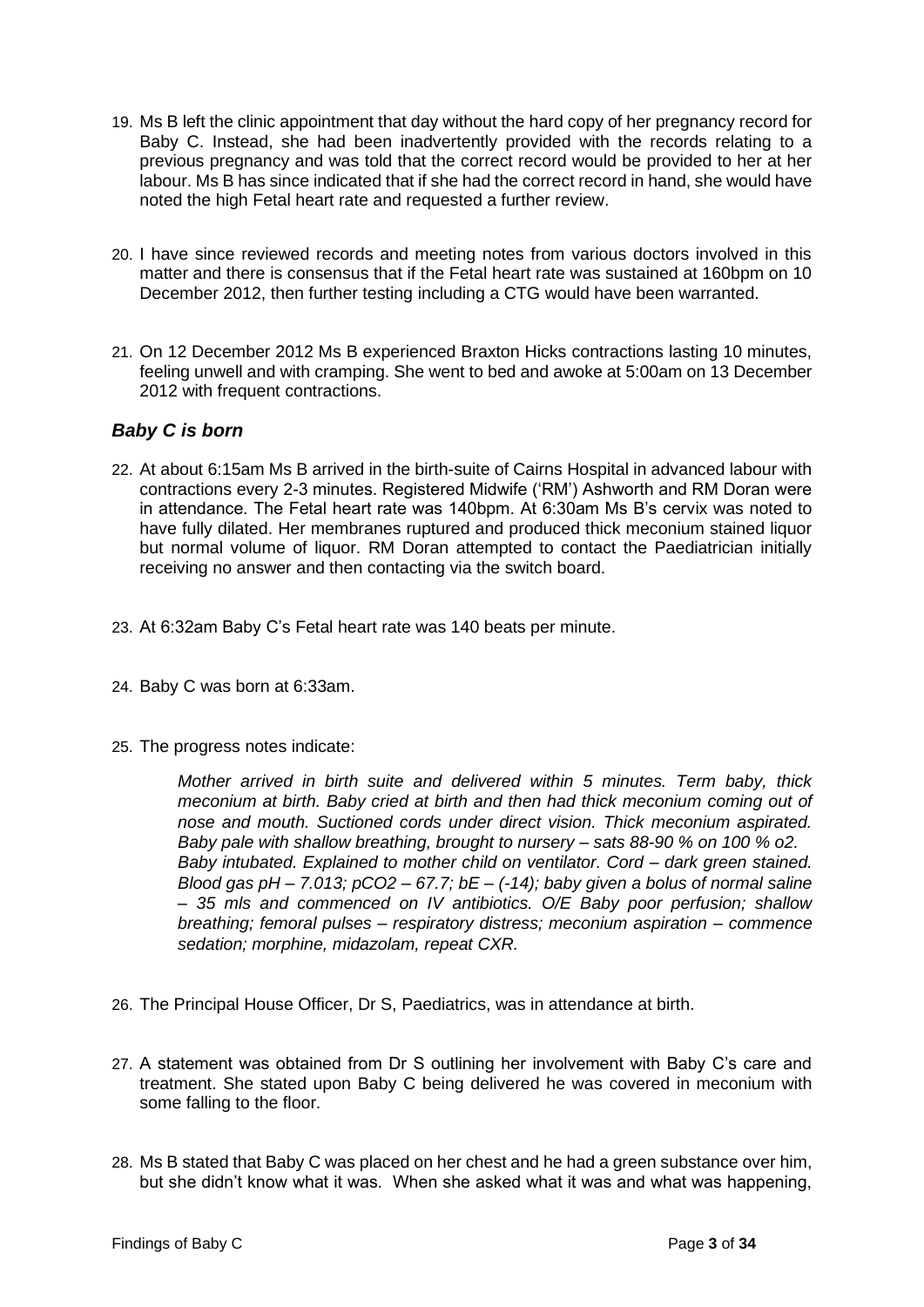- 19. Ms B left the clinic appointment that day without the hard copy of her pregnancy record for Baby C. Instead, she had been inadvertently provided with the records relating to a previous pregnancy and was told that the correct record would be provided to her at her labour. Ms B has since indicated that if she had the correct record in hand, she would have noted the high Fetal heart rate and requested a further review.
- 20. I have since reviewed records and meeting notes from various doctors involved in this matter and there is consensus that if the Fetal heart rate was sustained at 160bpm on 10 December 2012, then further testing including a CTG would have been warranted.
- 21. On 12 December 2012 Ms B experienced Braxton Hicks contractions lasting 10 minutes, feeling unwell and with cramping. She went to bed and awoke at 5:00am on 13 December 2012 with frequent contractions.

#### <span id="page-5-0"></span>*Baby C is born*

- 22. At about 6:15am Ms B arrived in the birth-suite of Cairns Hospital in advanced labour with contractions every 2-3 minutes. Registered Midwife ('RM') Ashworth and RM Doran were in attendance. The Fetal heart rate was 140bpm. At 6:30am Ms B's cervix was noted to have fully dilated. Her membranes ruptured and produced thick meconium stained liquor but normal volume of liquor. RM Doran attempted to contact the Paediatrician initially receiving no answer and then contacting via the switch board.
- 23. At 6:32am Baby C's Fetal heart rate was 140 beats per minute.
- 24. Baby C was born at 6:33am.
- 25. The progress notes indicate:

*Mother arrived in birth suite and delivered within 5 minutes. Term baby, thick meconium at birth. Baby cried at birth and then had thick meconium coming out of nose and mouth. Suctioned cords under direct vision. Thick meconium aspirated. Baby pale with shallow breathing, brought to nursery – sats 88-90 % on 100 % o2. Baby intubated. Explained to mother child on ventilator. Cord – dark green stained. Blood gas pH – 7.013; pCO2 – 67.7; bE – (-14); baby given a bolus of normal saline – 35 mls and commenced on IV antibiotics. O/E Baby poor perfusion; shallow breathing; femoral pulses – respiratory distress; meconium aspiration – commence sedation; morphine, midazolam, repeat CXR.* 

- 26. The Principal House Officer, Dr S, Paediatrics, was in attendance at birth.
- 27. A statement was obtained from Dr S outlining her involvement with Baby C's care and treatment. She stated upon Baby C being delivered he was covered in meconium with some falling to the floor.
- 28. Ms B stated that Baby C was placed on her chest and he had a green substance over him, but she didn't know what it was. When she asked what it was and what was happening,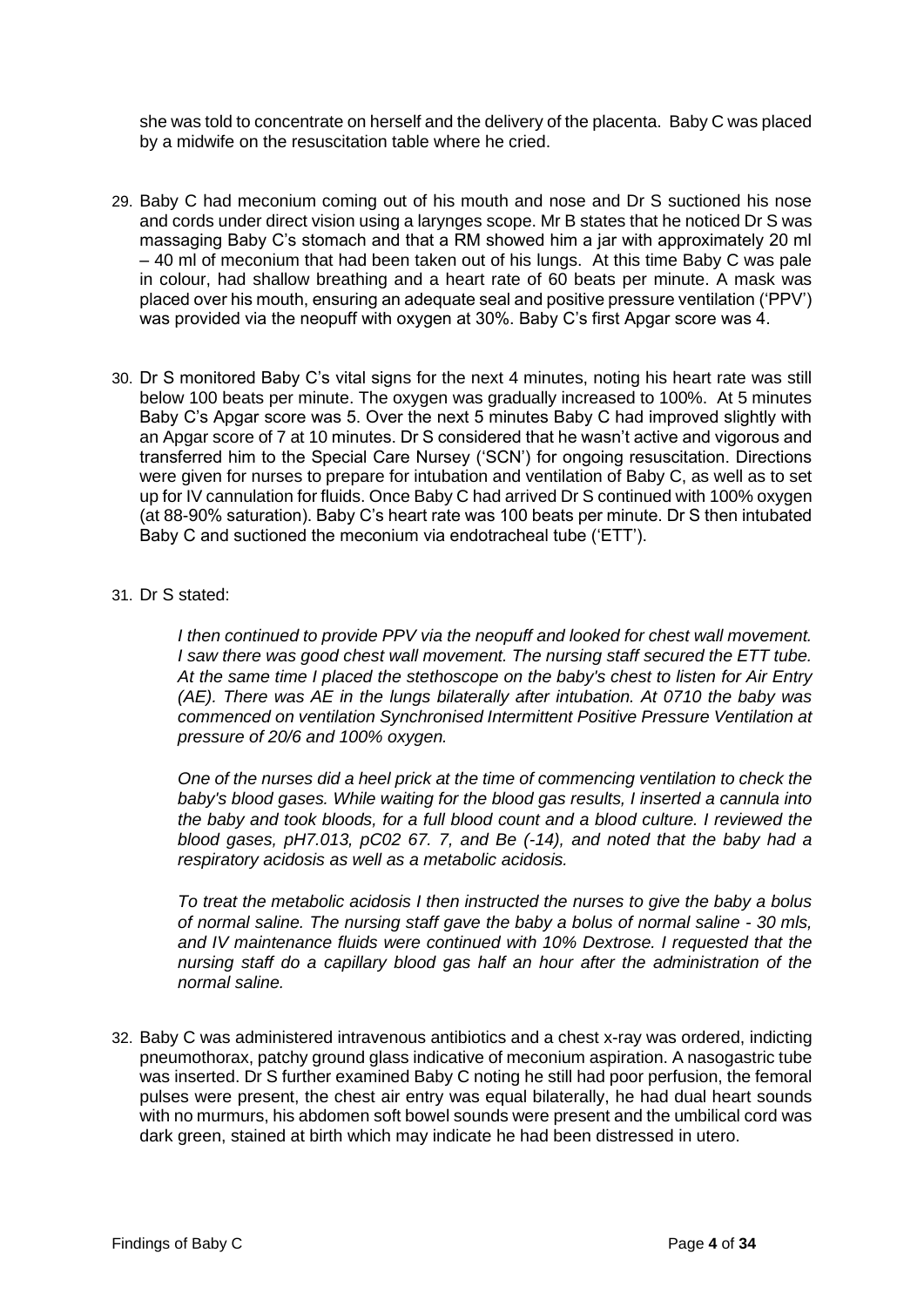she was told to concentrate on herself and the delivery of the placenta. Baby C was placed by a midwife on the resuscitation table where he cried.

- 29. Baby C had meconium coming out of his mouth and nose and Dr S suctioned his nose and cords under direct vision using a larynges scope. Mr B states that he noticed Dr S was massaging Baby C's stomach and that a RM showed him a jar with approximately 20 ml – 40 ml of meconium that had been taken out of his lungs. At this time Baby C was pale in colour, had shallow breathing and a heart rate of 60 beats per minute. A mask was placed over his mouth, ensuring an adequate seal and positive pressure ventilation ('PPV') was provided via the neopuff with oxygen at 30%. Baby C's first Apgar score was 4.
- 30. Dr S monitored Baby C's vital signs for the next 4 minutes, noting his heart rate was still below 100 beats per minute. The oxygen was gradually increased to 100%. At 5 minutes Baby C's Apgar score was 5. Over the next 5 minutes Baby C had improved slightly with an Apgar score of 7 at 10 minutes. Dr S considered that he wasn't active and vigorous and transferred him to the Special Care Nursey ('SCN') for ongoing resuscitation. Directions were given for nurses to prepare for intubation and ventilation of Baby C, as well as to set up for IV cannulation for fluids. Once Baby C had arrived Dr S continued with 100% oxygen (at 88-90% saturation). Baby C's heart rate was 100 beats per minute. Dr S then intubated Baby C and suctioned the meconium via endotracheal tube ('ETT').

#### 31. Dr S stated:

*I then continued to provide PPV via the neopuff and looked for chest wall movement. I saw there was good chest wall movement. The nursing staff secured the ETT tube. At the same time I placed the stethoscope on the baby's chest to listen for Air Entry (AE). There was AE in the lungs bilaterally after intubation. At 0710 the baby was commenced on ventilation Synchronised Intermittent Positive Pressure Ventilation at pressure of 20/6 and 100% oxygen.* 

*One of the nurses did a heel prick at the time of commencing ventilation to check the baby's blood gases. While waiting for the blood gas results, I inserted a cannula into the baby and took bloods, for a full blood count and a blood culture. I reviewed the blood gases, pH7.013, pC02 67. 7, and Be (-14), and noted that the baby had a respiratory acidosis as well as a metabolic acidosis.* 

*To treat the metabolic acidosis I then instructed the nurses to give the baby a bolus of normal saline. The nursing staff gave the baby a bolus of normal saline - 30 mls, and IV maintenance fluids were continued with 10% Dextrose. I requested that the nursing staff do a capillary blood gas half an hour after the administration of the normal saline.* 

32. Baby C was administered intravenous antibiotics and a chest x-ray was ordered, indicting pneumothorax, patchy ground glass indicative of meconium aspiration. A nasogastric tube was inserted. Dr S further examined Baby C noting he still had poor perfusion, the femoral pulses were present, the chest air entry was equal bilaterally, he had dual heart sounds with no murmurs, his abdomen soft bowel sounds were present and the umbilical cord was dark green, stained at birth which may indicate he had been distressed in utero.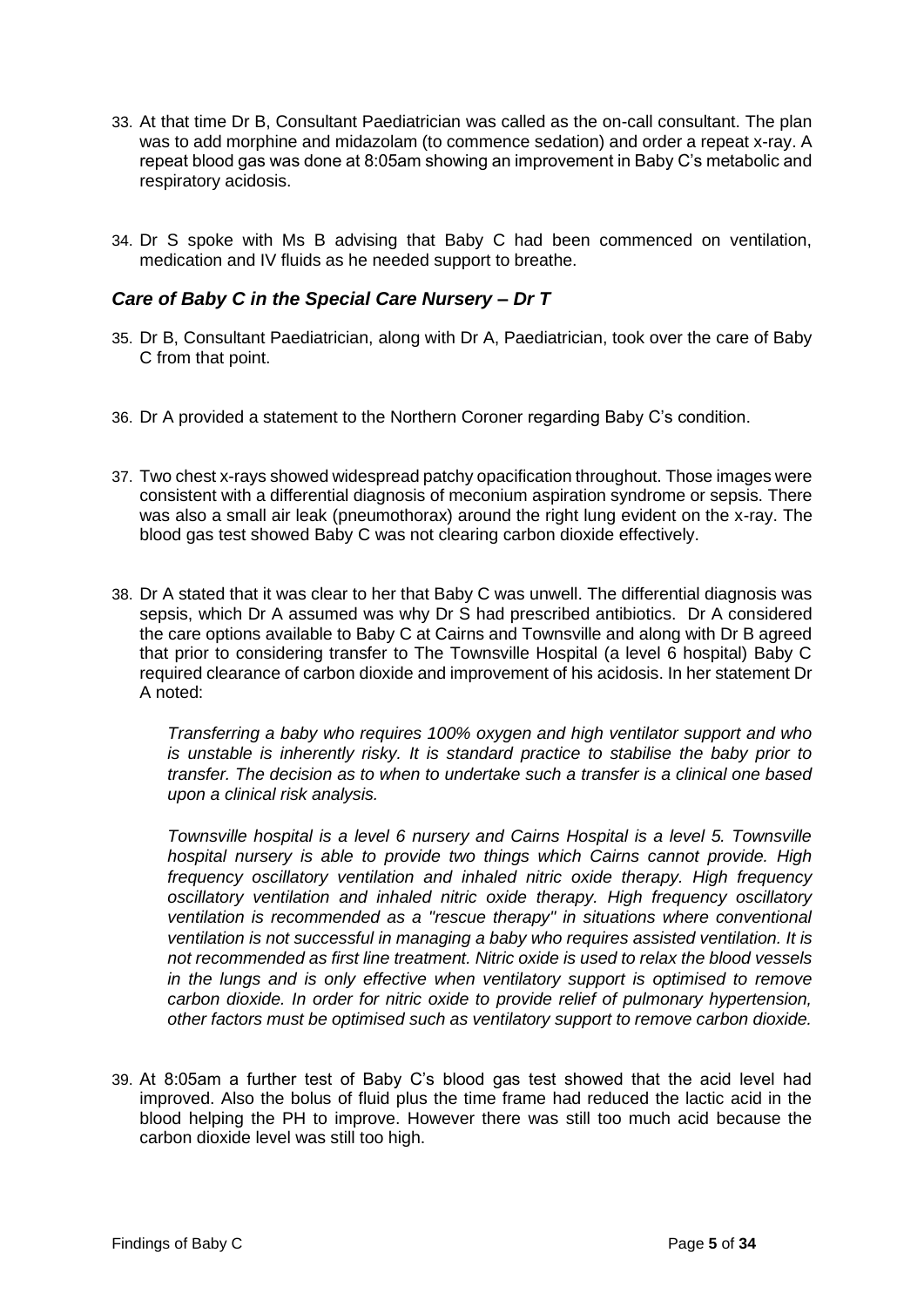- 33. At that time Dr B, Consultant Paediatrician was called as the on-call consultant. The plan was to add morphine and midazolam (to commence sedation) and order a repeat x-ray. A repeat blood gas was done at 8:05am showing an improvement in Baby C's metabolic and respiratory acidosis.
- 34. Dr S spoke with Ms B advising that Baby C had been commenced on ventilation, medication and IV fluids as he needed support to breathe.

#### <span id="page-7-0"></span>*Care of Baby C in the Special Care Nursery – Dr T*

- 35. Dr B, Consultant Paediatrician, along with Dr A, Paediatrician, took over the care of Baby C from that point.
- 36. Dr A provided a statement to the Northern Coroner regarding Baby C's condition.
- 37. Two chest x-rays showed widespread patchy opacification throughout. Those images were consistent with a differential diagnosis of meconium aspiration syndrome or sepsis. There was also a small air leak (pneumothorax) around the right lung evident on the x-ray. The blood gas test showed Baby C was not clearing carbon dioxide effectively.
- 38. Dr A stated that it was clear to her that Baby C was unwell. The differential diagnosis was sepsis, which Dr A assumed was why Dr S had prescribed antibiotics. Dr A considered the care options available to Baby C at Cairns and Townsville and along with Dr B agreed that prior to considering transfer to The Townsville Hospital (a level 6 hospital) Baby C required clearance of carbon dioxide and improvement of his acidosis. In her statement Dr A noted:

*Transferring a baby who requires 100% oxygen and high ventilator support and who is unstable is inherently risky. It is standard practice to stabilise the baby prior to transfer. The decision as to when to undertake such a transfer is a clinical one based upon a clinical risk analysis.* 

*Townsville hospital is a level 6 nursery and Cairns Hospital is a level 5. Townsville hospital nursery is able to provide two things which Cairns cannot provide. High frequency oscillatory ventilation and inhaled nitric oxide therapy. High frequency oscillatory ventilation and inhaled nitric oxide therapy. High frequency oscillatory ventilation is recommended as a "rescue therapy" in situations where conventional ventilation is not successful in managing a baby who requires assisted ventilation. It is not recommended as first line treatment. Nitric oxide is used to relax the blood vessels in the lungs and is only effective when ventilatory support is optimised to remove carbon dioxide. In order for nitric oxide to provide relief of pulmonary hypertension, other factors must be optimised such as ventilatory support to remove carbon dioxide.* 

39. At 8:05am a further test of Baby C's blood gas test showed that the acid level had improved. Also the bolus of fluid plus the time frame had reduced the lactic acid in the blood helping the PH to improve. However there was still too much acid because the carbon dioxide level was still too high.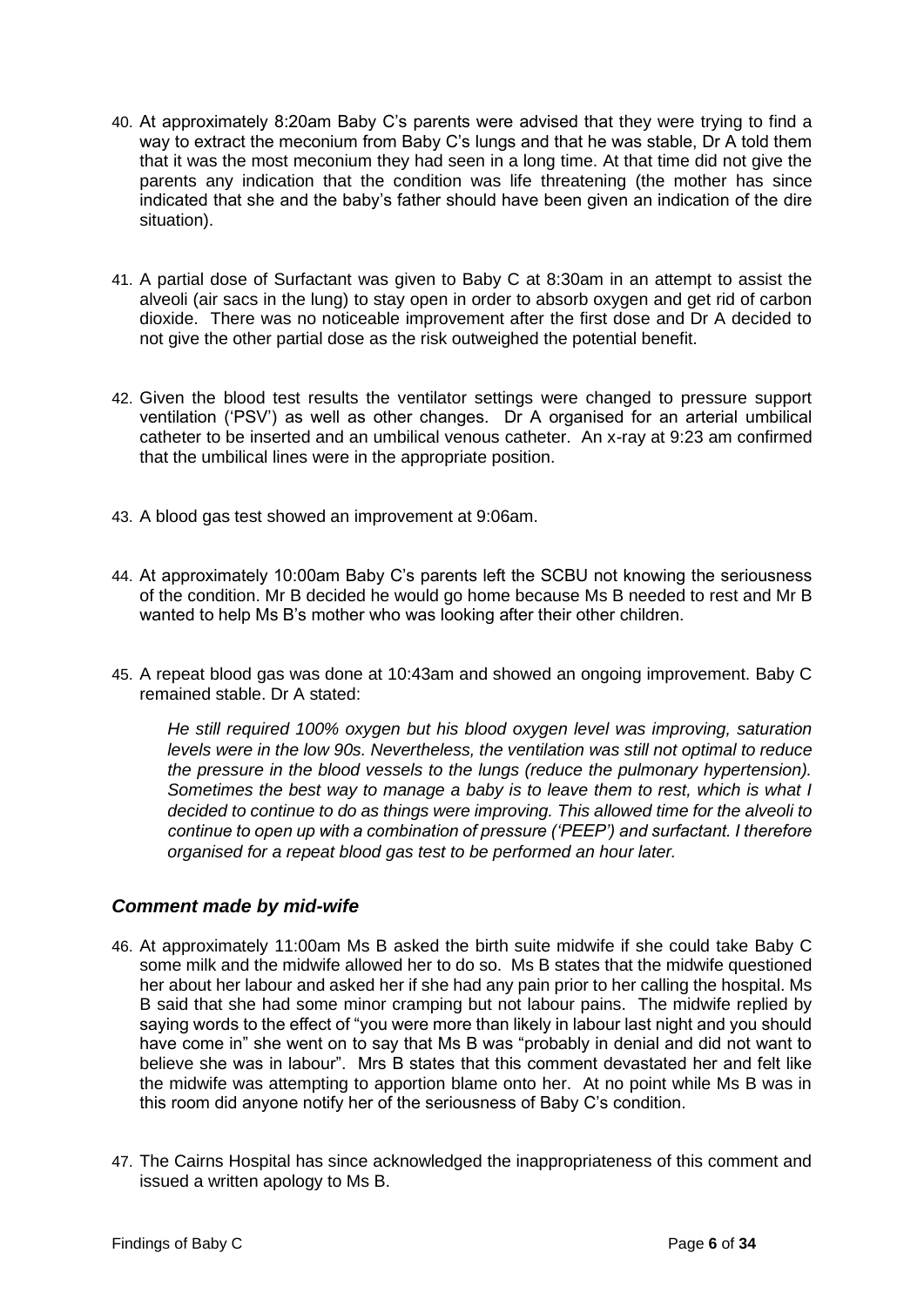- 40. At approximately 8:20am Baby C's parents were advised that they were trying to find a way to extract the meconium from Baby C's lungs and that he was stable, Dr A told them that it was the most meconium they had seen in a long time. At that time did not give the parents any indication that the condition was life threatening (the mother has since indicated that she and the baby's father should have been given an indication of the dire situation).
- 41. A partial dose of Surfactant was given to Baby C at 8:30am in an attempt to assist the alveoli (air sacs in the lung) to stay open in order to absorb oxygen and get rid of carbon dioxide. There was no noticeable improvement after the first dose and Dr A decided to not give the other partial dose as the risk outweighed the potential benefit.
- 42. Given the blood test results the ventilator settings were changed to pressure support ventilation ('PSV') as well as other changes. Dr A organised for an arterial umbilical catheter to be inserted and an umbilical venous catheter. An x-ray at 9:23 am confirmed that the umbilical lines were in the appropriate position.
- 43. A blood gas test showed an improvement at 9:06am.
- 44. At approximately 10:00am Baby C's parents left the SCBU not knowing the seriousness of the condition. Mr B decided he would go home because Ms B needed to rest and Mr B wanted to help Ms B's mother who was looking after their other children.
- 45. A repeat blood gas was done at 10:43am and showed an ongoing improvement. Baby C remained stable. Dr A stated:

*He still required 100% oxygen but his blood oxygen level was improving, saturation levels were in the low 90s. Nevertheless, the ventilation was still not optimal to reduce the pressure in the blood vessels to the lungs (reduce the pulmonary hypertension). Sometimes the best way to manage a baby is to leave them to rest, which is what I decided to continue to do as things were improving. This allowed time for the alveoli to continue to open up with a combination of pressure ('PEEP') and surfactant. I therefore organised for a repeat blood gas test to be performed an hour later.*

#### <span id="page-8-0"></span>*Comment made by mid-wife*

- 46. At approximately 11:00am Ms B asked the birth suite midwife if she could take Baby C some milk and the midwife allowed her to do so. Ms B states that the midwife questioned her about her labour and asked her if she had any pain prior to her calling the hospital. Ms B said that she had some minor cramping but not labour pains. The midwife replied by saying words to the effect of "you were more than likely in labour last night and you should have come in" she went on to say that Ms B was "probably in denial and did not want to believe she was in labour". Mrs B states that this comment devastated her and felt like the midwife was attempting to apportion blame onto her. At no point while Ms B was in this room did anyone notify her of the seriousness of Baby C's condition.
- 47. The Cairns Hospital has since acknowledged the inappropriateness of this comment and issued a written apology to Ms B.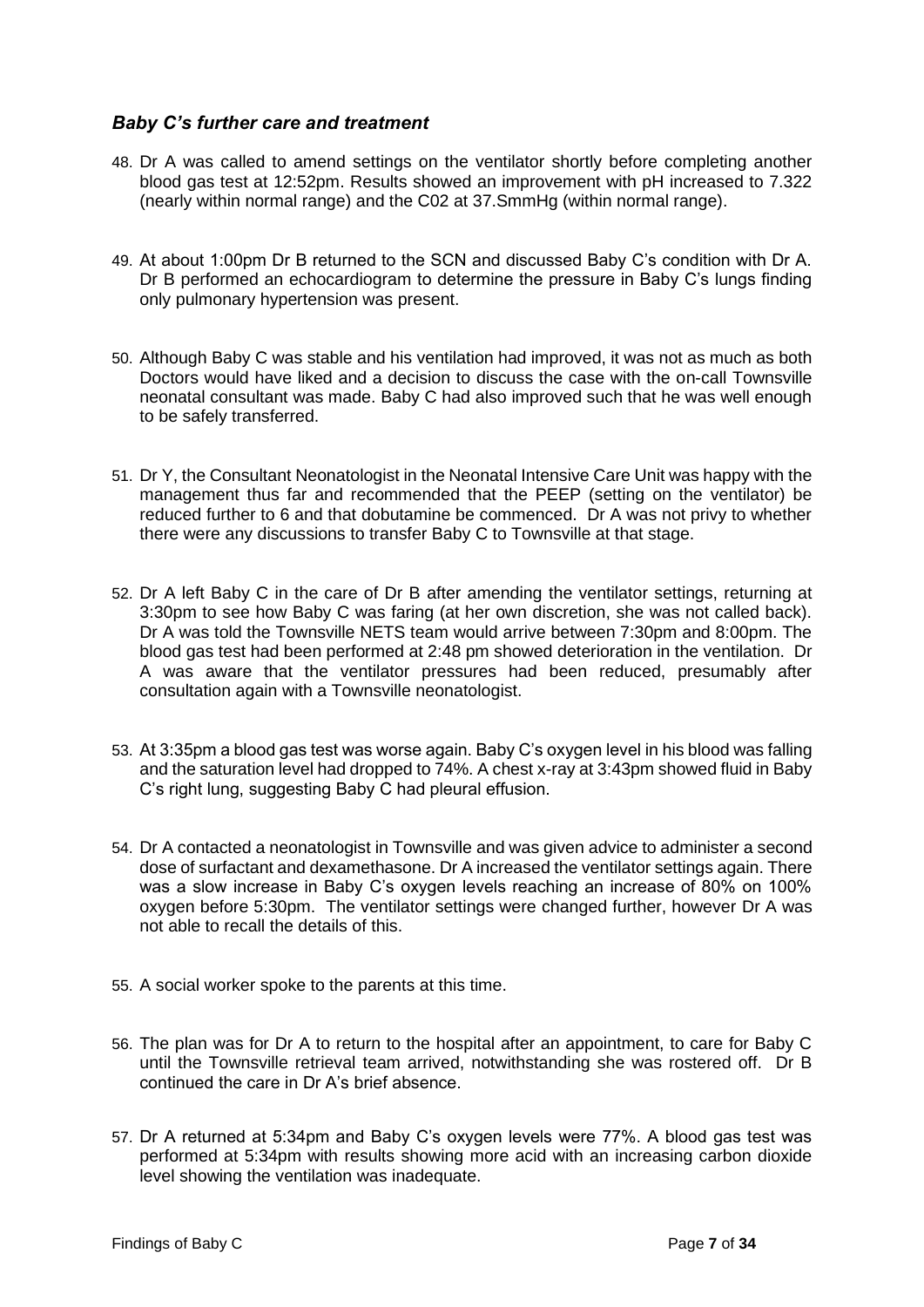#### <span id="page-9-0"></span>*Baby C's further care and treatment*

- 48. Dr A was called to amend settings on the ventilator shortly before completing another blood gas test at 12:52pm. Results showed an improvement with pH increased to 7.322 (nearly within normal range) and the C02 at 37.SmmHg (within normal range).
- 49. At about 1:00pm Dr B returned to the SCN and discussed Baby C's condition with Dr A. Dr B performed an echocardiogram to determine the pressure in Baby C's lungs finding only pulmonary hypertension was present.
- 50. Although Baby C was stable and his ventilation had improved, it was not as much as both Doctors would have liked and a decision to discuss the case with the on-call Townsville neonatal consultant was made. Baby C had also improved such that he was well enough to be safely transferred.
- 51. Dr Y, the Consultant Neonatologist in the Neonatal Intensive Care Unit was happy with the management thus far and recommended that the PEEP (setting on the ventilator) be reduced further to 6 and that dobutamine be commenced. Dr A was not privy to whether there were any discussions to transfer Baby C to Townsville at that stage.
- 52. Dr A left Baby C in the care of Dr B after amending the ventilator settings, returning at 3:30pm to see how Baby C was faring (at her own discretion, she was not called back). Dr A was told the Townsville NETS team would arrive between 7:30pm and 8:00pm. The blood gas test had been performed at 2:48 pm showed deterioration in the ventilation. Dr A was aware that the ventilator pressures had been reduced, presumably after consultation again with a Townsville neonatologist.
- 53. At 3:35pm a blood gas test was worse again. Baby C's oxygen level in his blood was falling and the saturation level had dropped to 74%. A chest x-ray at 3:43pm showed fluid in Baby C's right lung, suggesting Baby C had pleural effusion.
- 54. Dr A contacted a neonatologist in Townsville and was given advice to administer a second dose of surfactant and dexamethasone. Dr A increased the ventilator settings again. There was a slow increase in Baby C's oxygen levels reaching an increase of 80% on 100% oxygen before 5:30pm. The ventilator settings were changed further, however Dr A was not able to recall the details of this.
- 55. A social worker spoke to the parents at this time.
- 56. The plan was for Dr A to return to the hospital after an appointment, to care for Baby C until the Townsville retrieval team arrived, notwithstanding she was rostered off. Dr B continued the care in Dr A's brief absence.
- 57. Dr A returned at 5:34pm and Baby C's oxygen levels were 77%. A blood gas test was performed at 5:34pm with results showing more acid with an increasing carbon dioxide level showing the ventilation was inadequate.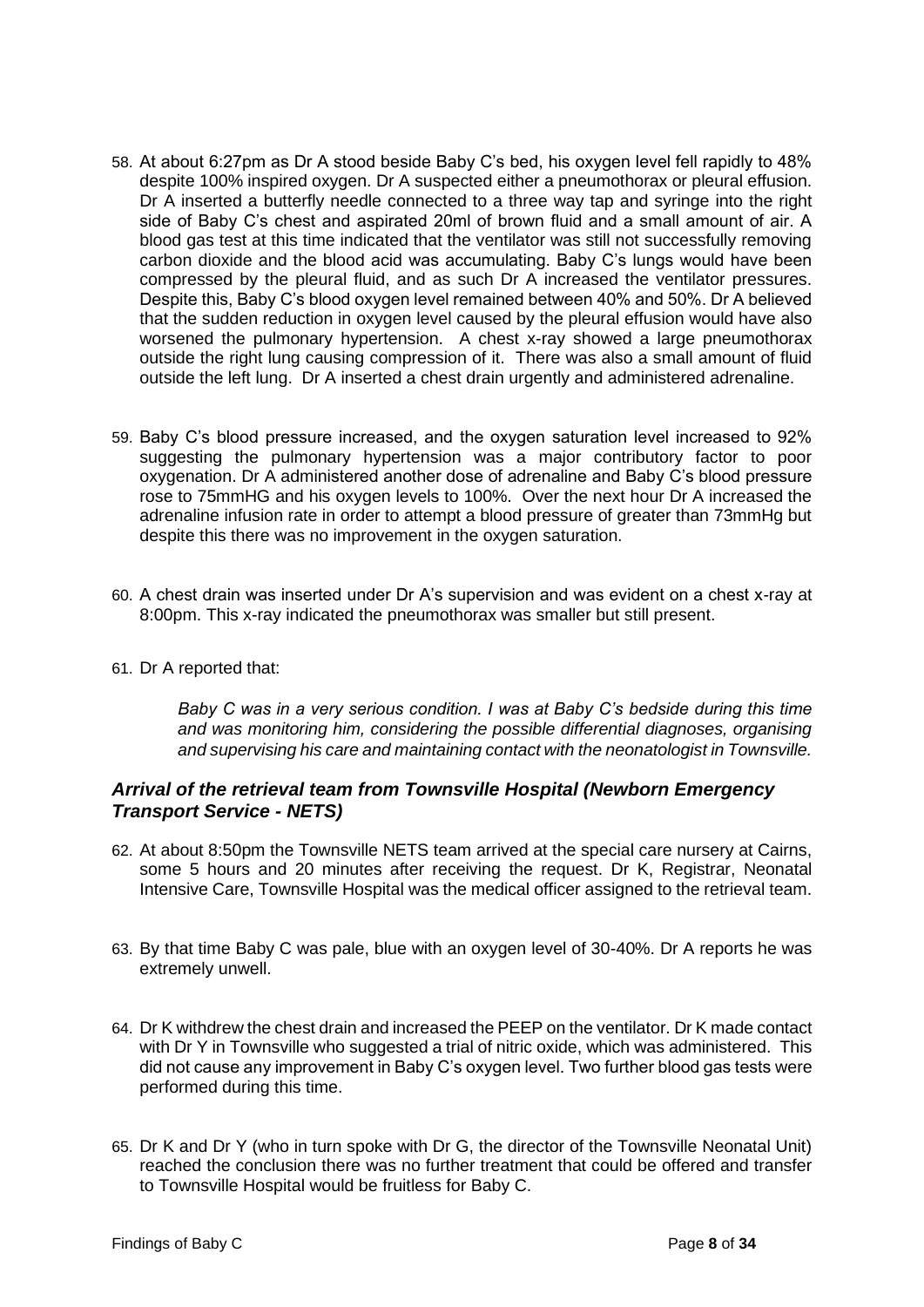- 58. At about 6:27pm as Dr A stood beside Baby C's bed, his oxygen level fell rapidly to 48% despite 100% inspired oxygen. Dr A suspected either a pneumothorax or pleural effusion. Dr A inserted a butterfly needle connected to a three way tap and syringe into the right side of Baby C's chest and aspirated 20ml of brown fluid and a small amount of air. A blood gas test at this time indicated that the ventilator was still not successfully removing carbon dioxide and the blood acid was accumulating. Baby C's lungs would have been compressed by the pleural fluid, and as such Dr A increased the ventilator pressures. Despite this, Baby C's blood oxygen level remained between 40% and 50%. Dr A believed that the sudden reduction in oxygen level caused by the pleural effusion would have also worsened the pulmonary hypertension. A chest x-ray showed a large pneumothorax outside the right lung causing compression of it. There was also a small amount of fluid outside the left lung. Dr A inserted a chest drain urgently and administered adrenaline.
- 59. Baby C's blood pressure increased, and the oxygen saturation level increased to 92% suggesting the pulmonary hypertension was a major contributory factor to poor oxygenation. Dr A administered another dose of adrenaline and Baby C's blood pressure rose to 75mmHG and his oxygen levels to 100%. Over the next hour Dr A increased the adrenaline infusion rate in order to attempt a blood pressure of greater than 73mmHg but despite this there was no improvement in the oxygen saturation.
- 60. A chest drain was inserted under Dr A's supervision and was evident on a chest x-ray at 8:00pm. This x-ray indicated the pneumothorax was smaller but still present.
- 61. Dr A reported that:

*Baby C was in a very serious condition. I was at Baby C's bedside during this time and was monitoring him, considering the possible differential diagnoses, organising and supervising his care and maintaining contact with the neonatologist in Townsville.* 

#### <span id="page-10-0"></span>*Arrival of the retrieval team from Townsville Hospital (Newborn Emergency Transport Service - NETS)*

- 62. At about 8:50pm the Townsville NETS team arrived at the special care nursery at Cairns, some 5 hours and 20 minutes after receiving the request. Dr K, Registrar, Neonatal Intensive Care, Townsville Hospital was the medical officer assigned to the retrieval team.
- 63. By that time Baby C was pale, blue with an oxygen level of 30-40%. Dr A reports he was extremely unwell.
- 64. Dr K withdrew the chest drain and increased the PEEP on the ventilator. Dr K made contact with Dr Y in Townsville who suggested a trial of nitric oxide, which was administered. This did not cause any improvement in Baby C's oxygen level. Two further blood gas tests were performed during this time.
- 65. Dr K and Dr Y (who in turn spoke with Dr G, the director of the Townsville Neonatal Unit) reached the conclusion there was no further treatment that could be offered and transfer to Townsville Hospital would be fruitless for Baby C.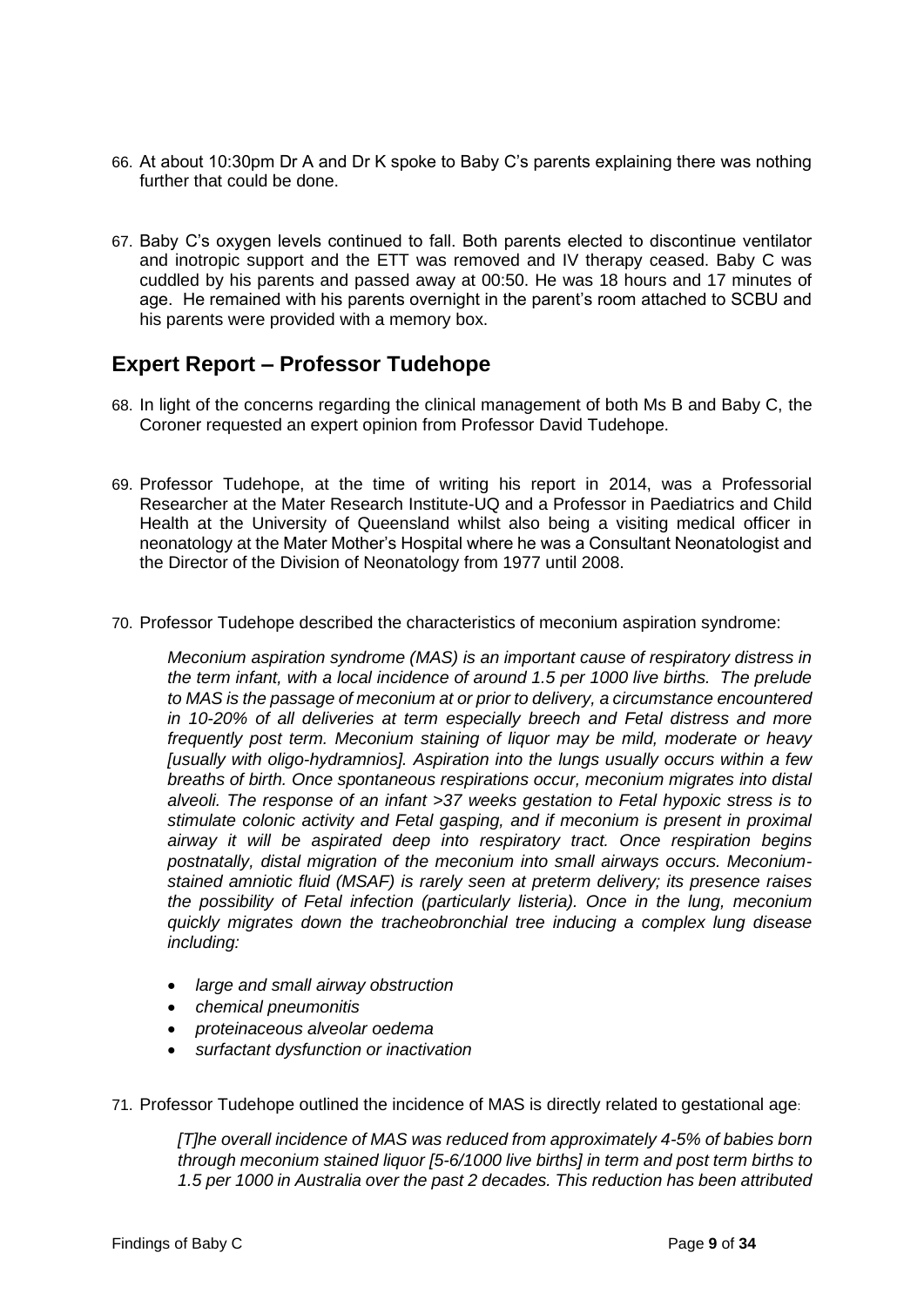- 66. At about 10:30pm Dr A and Dr K spoke to Baby C's parents explaining there was nothing further that could be done.
- 67. Baby C's oxygen levels continued to fall. Both parents elected to discontinue ventilator and inotropic support and the ETT was removed and IV therapy ceased. Baby C was cuddled by his parents and passed away at 00:50. He was 18 hours and 17 minutes of age. He remained with his parents overnight in the parent's room attached to SCBU and his parents were provided with a memory box.

## <span id="page-11-0"></span>**Expert Report – Professor Tudehope**

- 68. In light of the concerns regarding the clinical management of both Ms B and Baby C, the Coroner requested an expert opinion from Professor David Tudehope.
- 69. Professor Tudehope, at the time of writing his report in 2014, was a Professorial Researcher at the Mater Research Institute-UQ and a Professor in Paediatrics and Child Health at the University of Queensland whilst also being a visiting medical officer in neonatology at the Mater Mother's Hospital where he was a Consultant Neonatologist and the Director of the Division of Neonatology from 1977 until 2008.
- 70. Professor Tudehope described the characteristics of meconium aspiration syndrome:

*Meconium aspiration syndrome (MAS) is an important cause of respiratory distress in the term infant, with a local incidence of around 1.5 per 1000 live births. The prelude to MAS is the passage of meconium at or prior to delivery, a circumstance encountered in 10-20% of all deliveries at term especially breech and Fetal distress and more frequently post term. Meconium staining of liquor may be mild, moderate or heavy [usually with oligo-hydramnios]. Aspiration into the lungs usually occurs within a few breaths of birth. Once spontaneous respirations occur, meconium migrates into distal alveoli. The response of an infant >37 weeks gestation to Fetal hypoxic stress is to stimulate colonic activity and Fetal gasping, and if meconium is present in proximal airway it will be aspirated deep into respiratory tract. Once respiration begins postnatally, distal migration of the meconium into small airways occurs. Meconiumstained amniotic fluid (MSAF) is rarely seen at preterm delivery; its presence raises the possibility of Fetal infection (particularly listeria). Once in the lung, meconium quickly migrates down the tracheobronchial tree inducing a complex lung disease including:* 

- *large and small airway obstruction*
- *chemical pneumonitis*
- *proteinaceous alveolar oedema*
- *surfactant dysfunction or inactivation*

71. Professor Tudehope outlined the incidence of MAS is directly related to gestational age:

*[T]he overall incidence of MAS was reduced from approximately 4-5% of babies born through meconium stained liquor [5-6/1000 live births] in term and post term births to 1.5 per 1000 in Australia over the past 2 decades. This reduction has been attributed*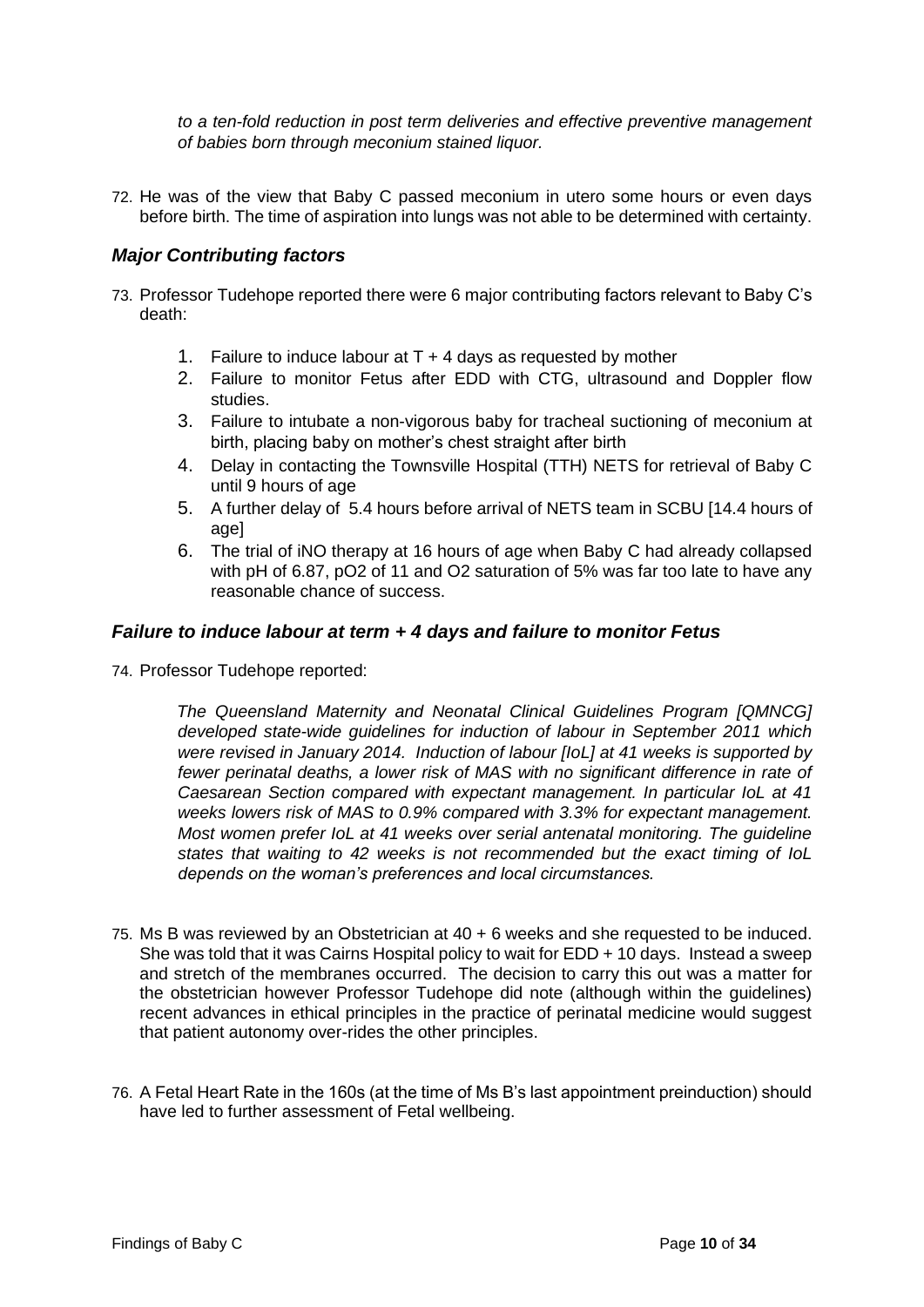*to a ten-fold reduction in post term deliveries and effective preventive management of babies born through meconium stained liquor.* 

72. He was of the view that Baby C passed meconium in utero some hours or even days before birth. The time of aspiration into lungs was not able to be determined with certainty.

#### <span id="page-12-0"></span>*Major Contributing factors*

- 73. Professor Tudehope reported there were 6 major contributing factors relevant to Baby C's death:
	- 1. Failure to induce labour at  $T + 4$  days as requested by mother
	- 2. Failure to monitor Fetus after EDD with CTG, ultrasound and Doppler flow studies.
	- 3. Failure to intubate a non-vigorous baby for tracheal suctioning of meconium at birth, placing baby on mother's chest straight after birth
	- 4. Delay in contacting the Townsville Hospital (TTH) NETS for retrieval of Baby C until 9 hours of age
	- 5. A further delay of 5.4 hours before arrival of NETS team in SCBU [14.4 hours of age]
	- 6. The trial of iNO therapy at 16 hours of age when Baby C had already collapsed with pH of 6.87, pO2 of 11 and O2 saturation of 5% was far too late to have any reasonable chance of success.

#### <span id="page-12-1"></span>*Failure to induce labour at term + 4 days and failure to monitor Fetus*

74. Professor Tudehope reported:

*The Queensland Maternity and Neonatal Clinical Guidelines Program [QMNCG] developed state-wide guidelines for induction of labour in September 2011 which were revised in January 2014. Induction of labour [IoL] at 41 weeks is supported by fewer perinatal deaths, a lower risk of MAS with no significant difference in rate of Caesarean Section compared with expectant management. In particular IoL at 41 weeks lowers risk of MAS to 0.9% compared with 3.3% for expectant management. Most women prefer IoL at 41 weeks over serial antenatal monitoring. The guideline states that waiting to 42 weeks is not recommended but the exact timing of IoL depends on the woman's preferences and local circumstances.* 

- 75. Ms B was reviewed by an Obstetrician at 40 + 6 weeks and she requested to be induced. She was told that it was Cairns Hospital policy to wait for EDD + 10 days. Instead a sweep and stretch of the membranes occurred. The decision to carry this out was a matter for the obstetrician however Professor Tudehope did note (although within the guidelines) recent advances in ethical principles in the practice of perinatal medicine would suggest that patient autonomy over-rides the other principles.
- 76. A Fetal Heart Rate in the 160s (at the time of Ms B's last appointment preinduction) should have led to further assessment of Fetal wellbeing.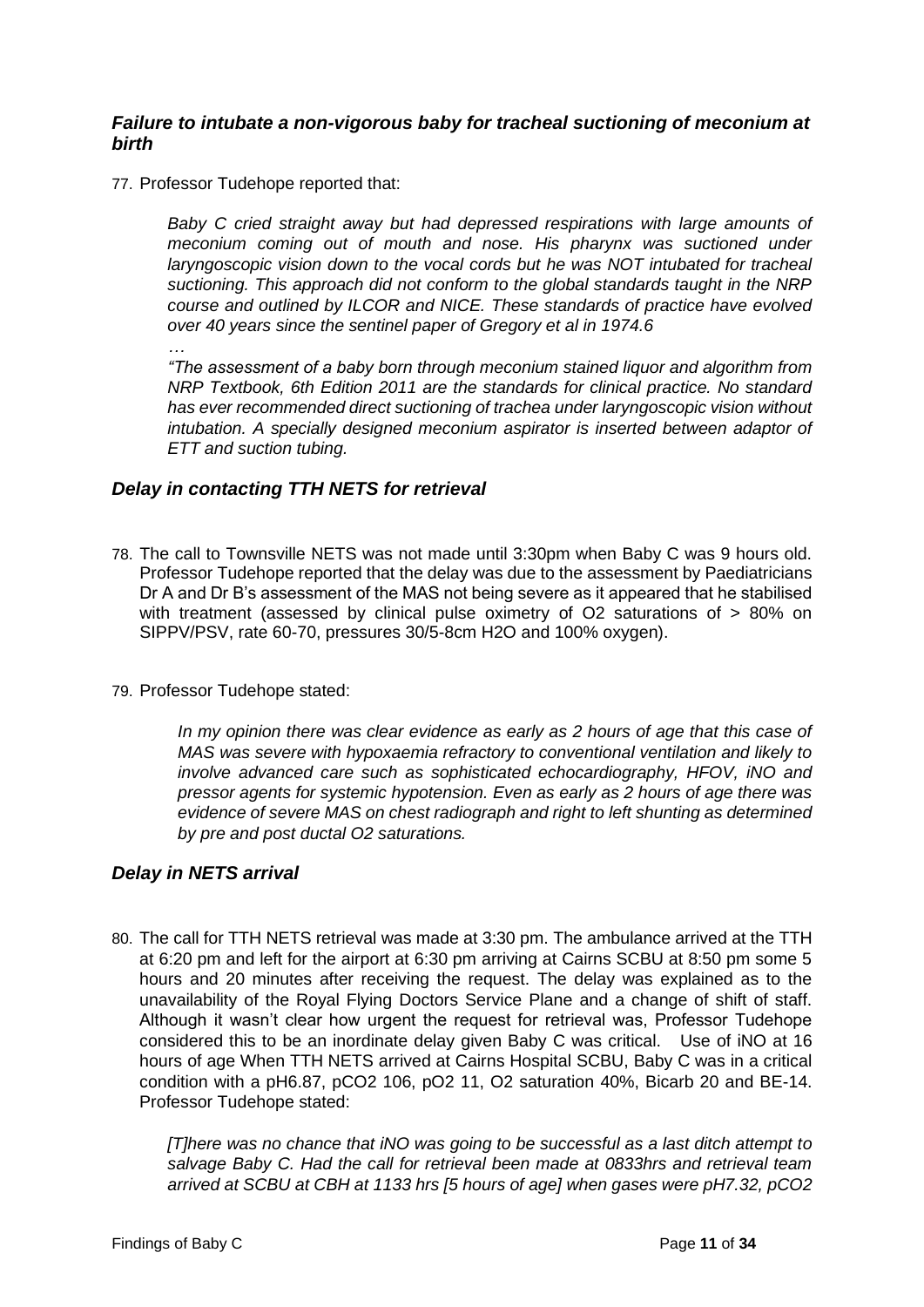#### <span id="page-13-0"></span>*Failure to intubate a non-vigorous baby for tracheal suctioning of meconium at birth*

77. Professor Tudehope reported that:

*Baby C cried straight away but had depressed respirations with large amounts of meconium coming out of mouth and nose. His pharynx was suctioned under laryngoscopic vision down to the vocal cords but he was NOT intubated for tracheal suctioning. This approach did not conform to the global standards taught in the NRP course and outlined by ILCOR and NICE. These standards of practice have evolved over 40 years since the sentinel paper of Gregory et al in 1974.6* 

*…* 

*"The assessment of a baby born through meconium stained liquor and algorithm from NRP Textbook, 6th Edition 2011 are the standards for clinical practice. No standard has ever recommended direct suctioning of trachea under laryngoscopic vision without intubation. A specially designed meconium aspirator is inserted between adaptor of ETT and suction tubing.* 

#### <span id="page-13-1"></span>*Delay in contacting TTH NETS for retrieval*

- 78. The call to Townsville NETS was not made until 3:30pm when Baby C was 9 hours old. Professor Tudehope reported that the delay was due to the assessment by Paediatricians Dr A and Dr B's assessment of the MAS not being severe as it appeared that he stabilised with treatment (assessed by clinical pulse oximetry of O2 saturations of > 80% on SIPPV/PSV, rate 60-70, pressures 30/5-8cm H2O and 100% oxygen).
- 79. Professor Tudehope stated:

*In my opinion there was clear evidence as early as 2 hours of age that this case of MAS was severe with hypoxaemia refractory to conventional ventilation and likely to involve advanced care such as sophisticated echocardiography, HFOV, iNO and pressor agents for systemic hypotension. Even as early as 2 hours of age there was evidence of severe MAS on chest radiograph and right to left shunting as determined by pre and post ductal O2 saturations.* 

#### <span id="page-13-2"></span>*Delay in NETS arrival*

80. The call for TTH NETS retrieval was made at 3:30 pm. The ambulance arrived at the TTH at 6:20 pm and left for the airport at 6:30 pm arriving at Cairns SCBU at 8:50 pm some 5 hours and 20 minutes after receiving the request. The delay was explained as to the unavailability of the Royal Flying Doctors Service Plane and a change of shift of staff. Although it wasn't clear how urgent the request for retrieval was, Professor Tudehope considered this to be an inordinate delay given Baby C was critical. Use of iNO at 16 hours of age When TTH NETS arrived at Cairns Hospital SCBU, Baby C was in a critical condition with a pH6.87, pCO2 106, pO2 11, O2 saturation 40%, Bicarb 20 and BE-14. Professor Tudehope stated:

*[T]here was no chance that iNO was going to be successful as a last ditch attempt to salvage Baby C. Had the call for retrieval been made at 0833hrs and retrieval team arrived at SCBU at CBH at 1133 hrs [5 hours of age] when gases were pH7.32, pCO2*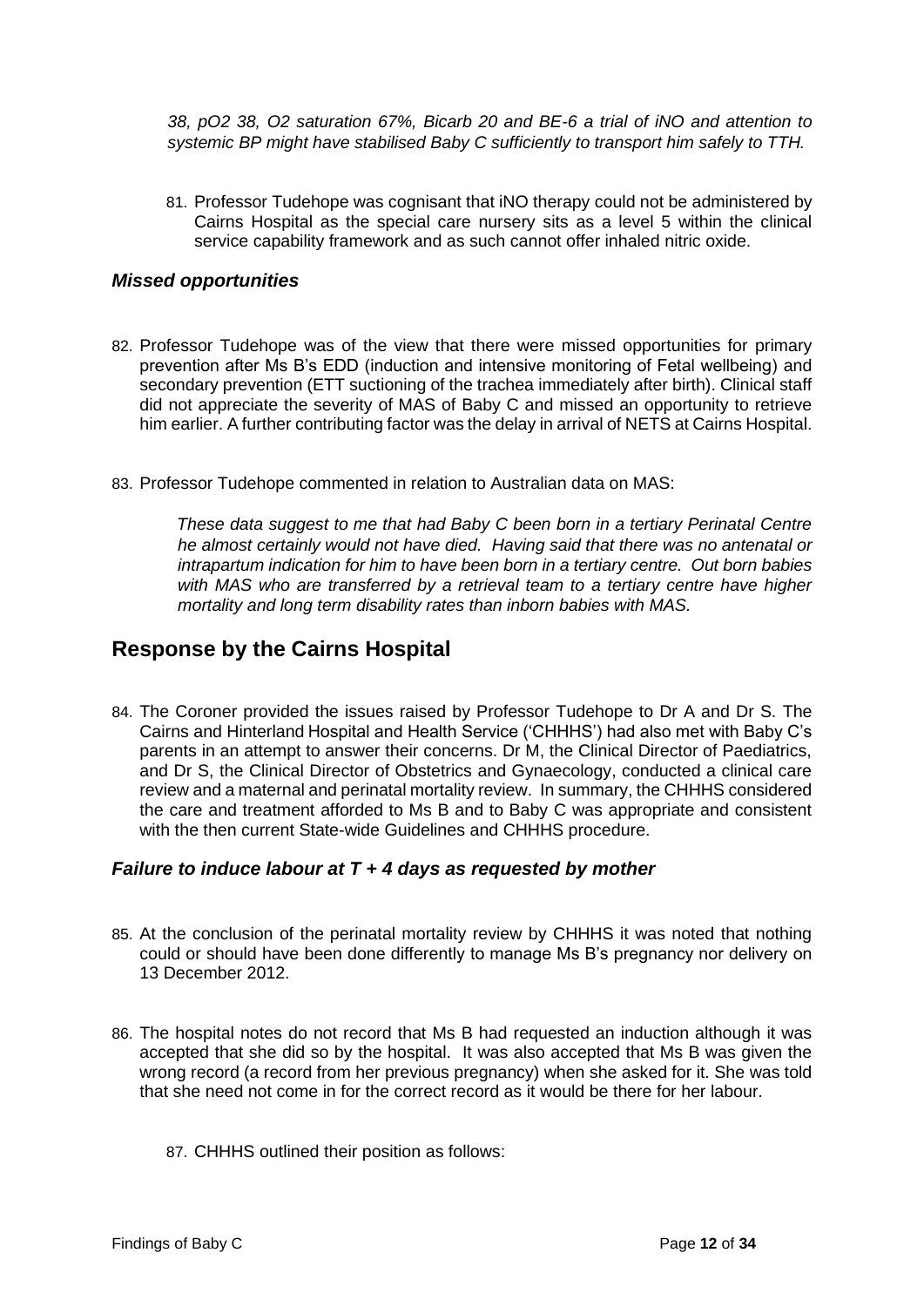*38, pO2 38, O2 saturation 67%, Bicarb 20 and BE-6 a trial of iNO and attention to systemic BP might have stabilised Baby C sufficiently to transport him safely to TTH.* 

81. Professor Tudehope was cognisant that iNO therapy could not be administered by Cairns Hospital as the special care nursery sits as a level 5 within the clinical service capability framework and as such cannot offer inhaled nitric oxide.

#### <span id="page-14-0"></span>*Missed opportunities*

- 82. Professor Tudehope was of the view that there were missed opportunities for primary prevention after Ms B's EDD (induction and intensive monitoring of Fetal wellbeing) and secondary prevention (ETT suctioning of the trachea immediately after birth). Clinical staff did not appreciate the severity of MAS of Baby C and missed an opportunity to retrieve him earlier. A further contributing factor was the delay in arrival of NETS at Cairns Hospital.
- 83. Professor Tudehope commented in relation to Australian data on MAS:

*These data suggest to me that had Baby C been born in a tertiary Perinatal Centre he almost certainly would not have died. Having said that there was no antenatal or intrapartum indication for him to have been born in a tertiary centre. Out born babies*  with MAS who are transferred by a retrieval team to a tertiary centre have higher *mortality and long term disability rates than inborn babies with MAS.* 

### <span id="page-14-1"></span>**Response by the Cairns Hospital**

84. The Coroner provided the issues raised by Professor Tudehope to Dr A and Dr S. The Cairns and Hinterland Hospital and Health Service ('CHHHS') had also met with Baby C's parents in an attempt to answer their concerns. Dr M, the Clinical Director of Paediatrics, and Dr S, the Clinical Director of Obstetrics and Gynaecology, conducted a clinical care review and a maternal and perinatal mortality review. In summary, the CHHHS considered the care and treatment afforded to Ms B and to Baby C was appropriate and consistent with the then current State-wide Guidelines and CHHHS procedure.

#### <span id="page-14-2"></span>*Failure to induce labour at T + 4 days as requested by mother*

- 85. At the conclusion of the perinatal mortality review by CHHHS it was noted that nothing could or should have been done differently to manage Ms B's pregnancy nor delivery on 13 December 2012.
- 86. The hospital notes do not record that Ms B had requested an induction although it was accepted that she did so by the hospital. It was also accepted that Ms B was given the wrong record (a record from her previous pregnancy) when she asked for it. She was told that she need not come in for the correct record as it would be there for her labour.
	- 87. CHHHS outlined their position as follows: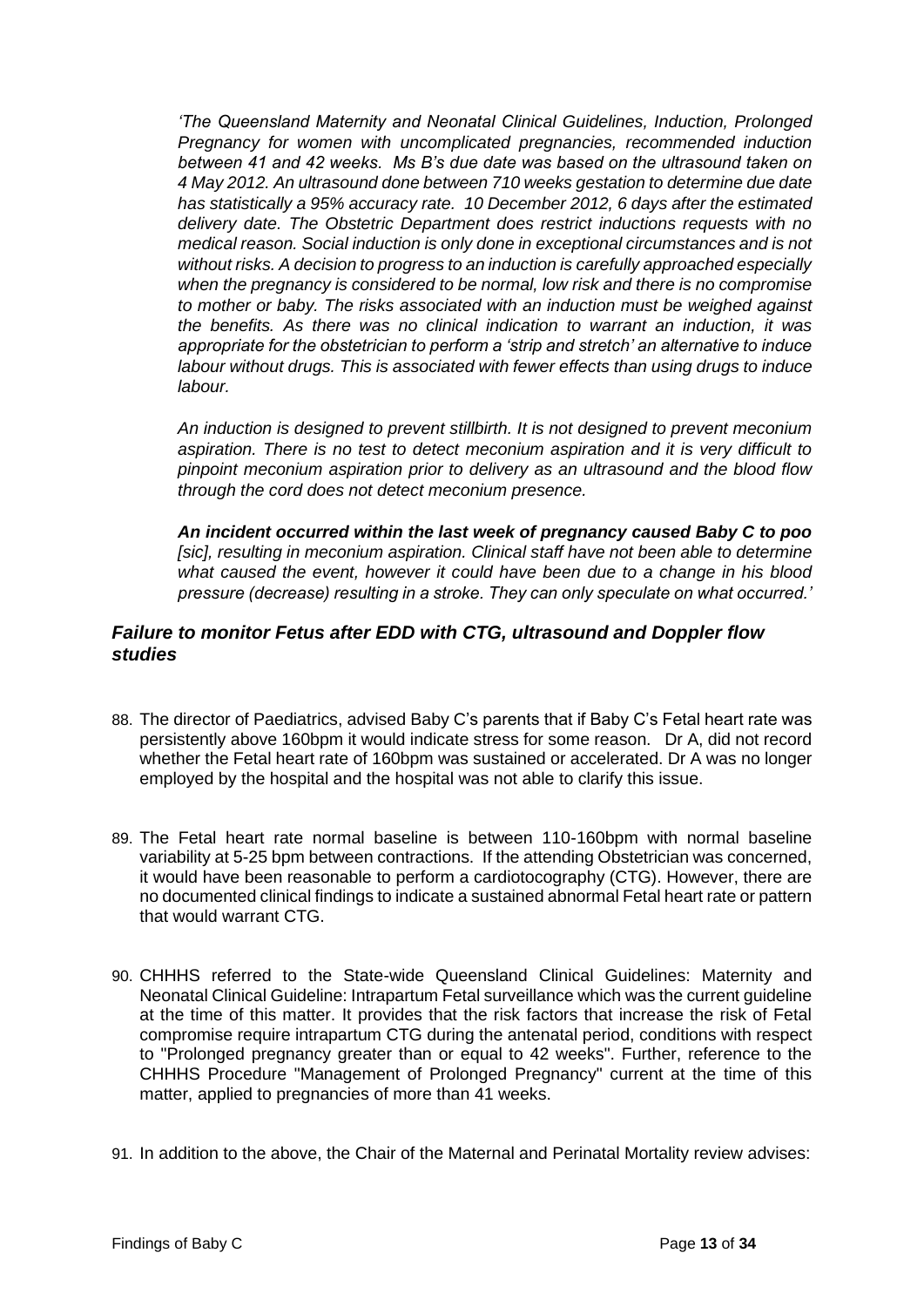*'The Queensland Maternity and Neonatal Clinical Guidelines, Induction, Prolonged Pregnancy for women with uncomplicated pregnancies, recommended induction between 41 and 42 weeks. Ms B's due date was based on the ultrasound taken on 4 May 2012. An ultrasound done between 710 weeks gestation to determine due date has statistically a 95% accuracy rate. 10 December 2012, 6 days after the estimated delivery date. The Obstetric Department does restrict inductions requests with no medical reason. Social induction is only done in exceptional circumstances and is not without risks. A decision to progress to an induction is carefully approached especially when the pregnancy is considered to be normal, low risk and there is no compromise to mother or baby. The risks associated with an induction must be weighed against the benefits. As there was no clinical indication to warrant an induction, it was appropriate for the obstetrician to perform a 'strip and stretch' an alternative to induce labour without drugs. This is associated with fewer effects than using drugs to induce labour.* 

*An induction is designed to prevent stillbirth. It is not designed to prevent meconium aspiration. There is no test to detect meconium aspiration and it is very difficult to pinpoint meconium aspiration prior to delivery as an ultrasound and the blood flow through the cord does not detect meconium presence.* 

*An incident occurred within the last week of pregnancy caused Baby C to poo [sic], resulting in meconium aspiration. Clinical staff have not been able to determine what caused the event, however it could have been due to a change in his blood pressure (decrease) resulting in a stroke. They can only speculate on what occurred.'*

#### <span id="page-15-0"></span>*Failure to monitor Fetus after EDD with CTG, ultrasound and Doppler flow studies*

- 88. The director of Paediatrics, advised Baby C's parents that if Baby C's Fetal heart rate was persistently above 160bpm it would indicate stress for some reason. Dr A, did not record whether the Fetal heart rate of 160bpm was sustained or accelerated. Dr A was no longer employed by the hospital and the hospital was not able to clarify this issue.
- 89. The Fetal heart rate normal baseline is between 110-160bpm with normal baseline variability at 5-25 bpm between contractions. If the attending Obstetrician was concerned, it would have been reasonable to perform a cardiotocography (CTG). However, there are no documented clinical findings to indicate a sustained abnormal Fetal heart rate or pattern that would warrant CTG.
- 90. CHHHS referred to the State-wide Queensland Clinical Guidelines: Maternity and Neonatal Clinical Guideline: Intrapartum Fetal surveillance which was the current guideline at the time of this matter. It provides that the risk factors that increase the risk of Fetal compromise require intrapartum CTG during the antenatal period, conditions with respect to "Prolonged pregnancy greater than or equal to 42 weeks". Further, reference to the CHHHS Procedure "Management of Prolonged Pregnancy" current at the time of this matter, applied to pregnancies of more than 41 weeks.
- 91. In addition to the above, the Chair of the Maternal and Perinatal Mortality review advises: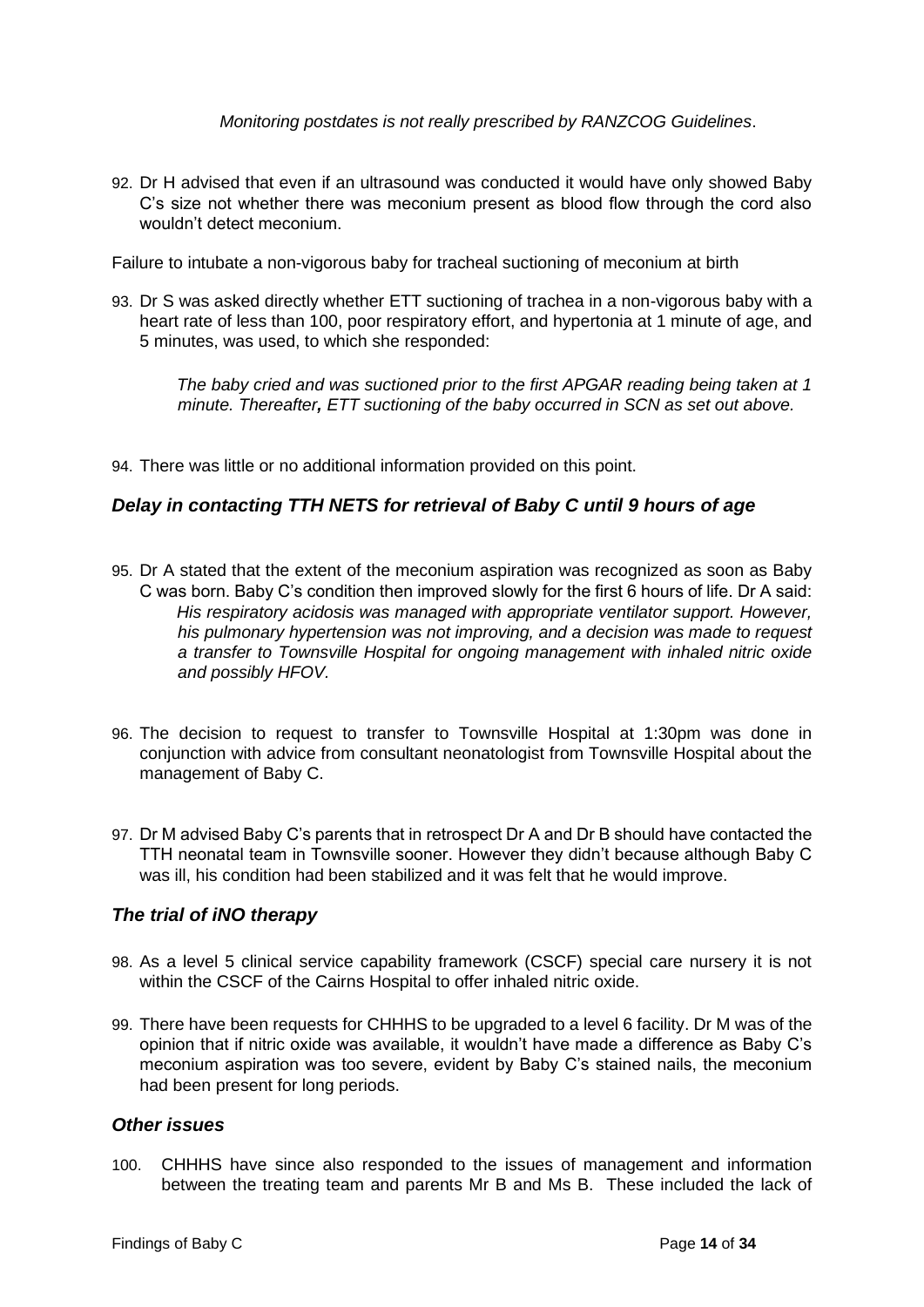*Monitoring postdates is not really prescribed by RANZCOG Guidelines*.

92. Dr H advised that even if an ultrasound was conducted it would have only showed Baby C's size not whether there was meconium present as blood flow through the cord also wouldn't detect meconium.

<span id="page-16-0"></span>Failure to intubate a non-vigorous baby for tracheal suctioning of meconium at birth

93. Dr S was asked directly whether ETT suctioning of trachea in a non-vigorous baby with a heart rate of less than 100, poor respiratory effort, and hypertonia at 1 minute of age, and 5 minutes, was used, to which she responded:

*The baby cried and was suctioned prior to the first APGAR reading being taken at 1 minute. Thereafter, ETT suctioning of the baby occurred in SCN as set out above.* 

94. There was little or no additional information provided on this point.

#### <span id="page-16-1"></span>*Delay in contacting TTH NETS for retrieval of Baby C until 9 hours of age*

- 95. Dr A stated that the extent of the meconium aspiration was recognized as soon as Baby C was born. Baby C's condition then improved slowly for the first 6 hours of life. Dr A said: *His respiratory acidosis was managed with appropriate ventilator support. However, his pulmonary hypertension was not improving, and a decision was made to request a transfer to Townsville Hospital for ongoing management with inhaled nitric oxide and possibly HFOV.*
- 96. The decision to request to transfer to Townsville Hospital at 1:30pm was done in conjunction with advice from consultant neonatologist from Townsville Hospital about the management of Baby C.
- 97. Dr M advised Baby C's parents that in retrospect Dr A and Dr B should have contacted the TTH neonatal team in Townsville sooner. However they didn't because although Baby C was ill, his condition had been stabilized and it was felt that he would improve.

#### <span id="page-16-2"></span>*The trial of iNO therapy*

- 98. As a level 5 clinical service capability framework (CSCF) special care nursery it is not within the CSCF of the Cairns Hospital to offer inhaled nitric oxide.
- 99. There have been requests for CHHHS to be upgraded to a level 6 facility. Dr M was of the opinion that if nitric oxide was available, it wouldn't have made a difference as Baby C's meconium aspiration was too severe, evident by Baby C's stained nails, the meconium had been present for long periods.

#### <span id="page-16-3"></span>*Other issues*

100. CHHHS have since also responded to the issues of management and information between the treating team and parents Mr B and Ms B. These included the lack of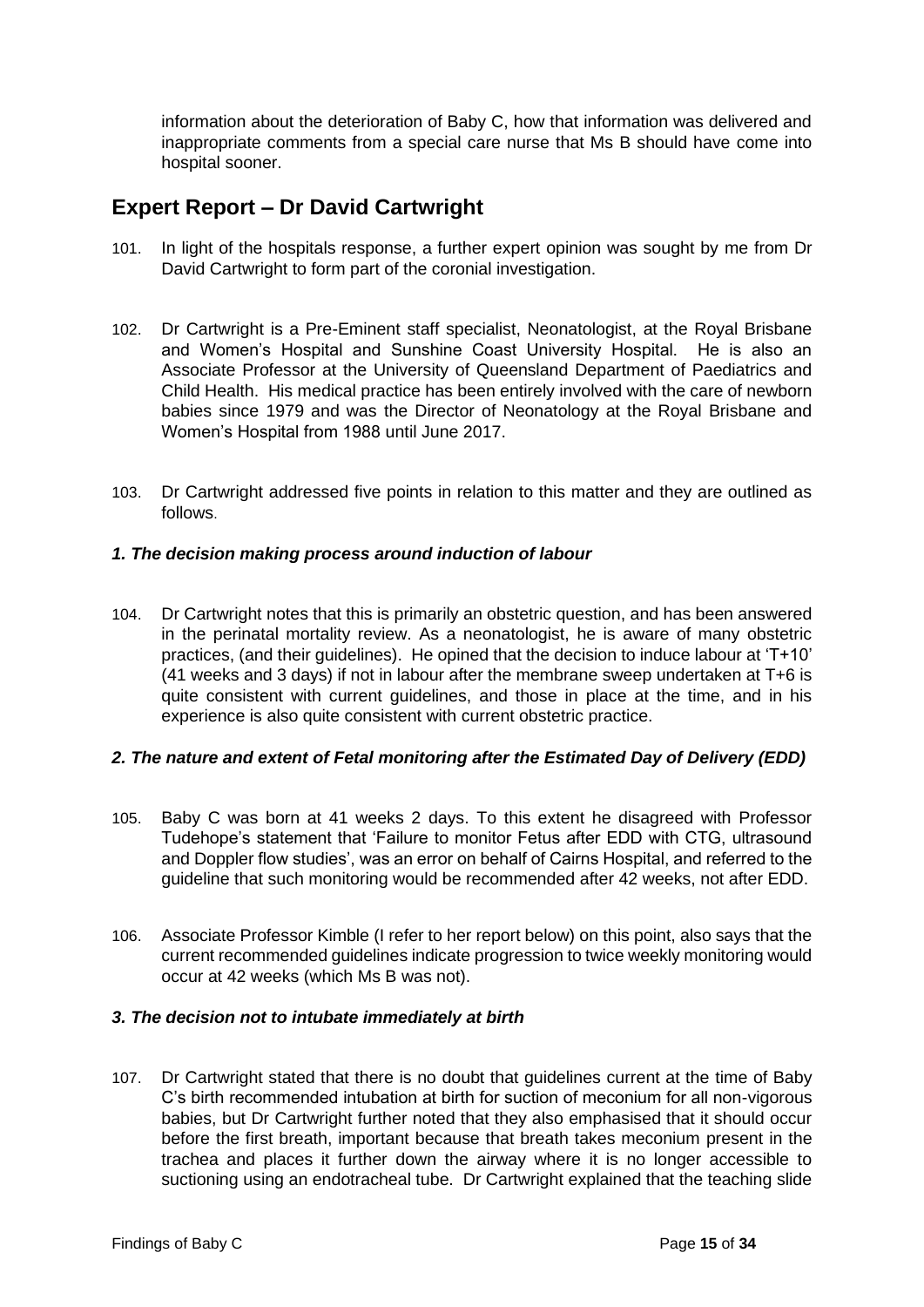information about the deterioration of Baby C, how that information was delivered and inappropriate comments from a special care nurse that Ms B should have come into hospital sooner.

## <span id="page-17-0"></span>**Expert Report – Dr David Cartwright**

- 101. In light of the hospitals response, a further expert opinion was sought by me from Dr David Cartwright to form part of the coronial investigation.
- 102. Dr Cartwright is a Pre-Eminent staff specialist, Neonatologist, at the Royal Brisbane and Women's Hospital and Sunshine Coast University Hospital. He is also an Associate Professor at the University of Queensland Department of Paediatrics and Child Health. His medical practice has been entirely involved with the care of newborn babies since 1979 and was the Director of Neonatology at the Royal Brisbane and Women's Hospital from 1988 until June 2017.
- 103. Dr Cartwright addressed five points in relation to this matter and they are outlined as follows.

#### *1. The decision making process around induction of labour*

104. Dr Cartwright notes that this is primarily an obstetric question, and has been answered in the perinatal mortality review. As a neonatologist, he is aware of many obstetric practices, (and their guidelines). He opined that the decision to induce labour at 'T+10' (41 weeks and 3 days) if not in labour after the membrane sweep undertaken at T+6 is quite consistent with current guidelines, and those in place at the time, and in his experience is also quite consistent with current obstetric practice.

#### *2. The nature and extent of Fetal monitoring after the Estimated Day of Delivery (EDD)*

- 105. Baby C was born at 41 weeks 2 days. To this extent he disagreed with Professor Tudehope's statement that 'Failure to monitor Fetus after EDD with CTG, ultrasound and Doppler flow studies', was an error on behalf of Cairns Hospital, and referred to the guideline that such monitoring would be recommended after 42 weeks, not after EDD.
- 106. Associate Professor Kimble (I refer to her report below) on this point, also says that the current recommended guidelines indicate progression to twice weekly monitoring would occur at 42 weeks (which Ms B was not).

#### *3. The decision not to intubate immediately at birth*

107. Dr Cartwright stated that there is no doubt that guidelines current at the time of Baby C's birth recommended intubation at birth for suction of meconium for all non-vigorous babies, but Dr Cartwright further noted that they also emphasised that it should occur before the first breath, important because that breath takes meconium present in the trachea and places it further down the airway where it is no longer accessible to suctioning using an endotracheal tube. Dr Cartwright explained that the teaching slide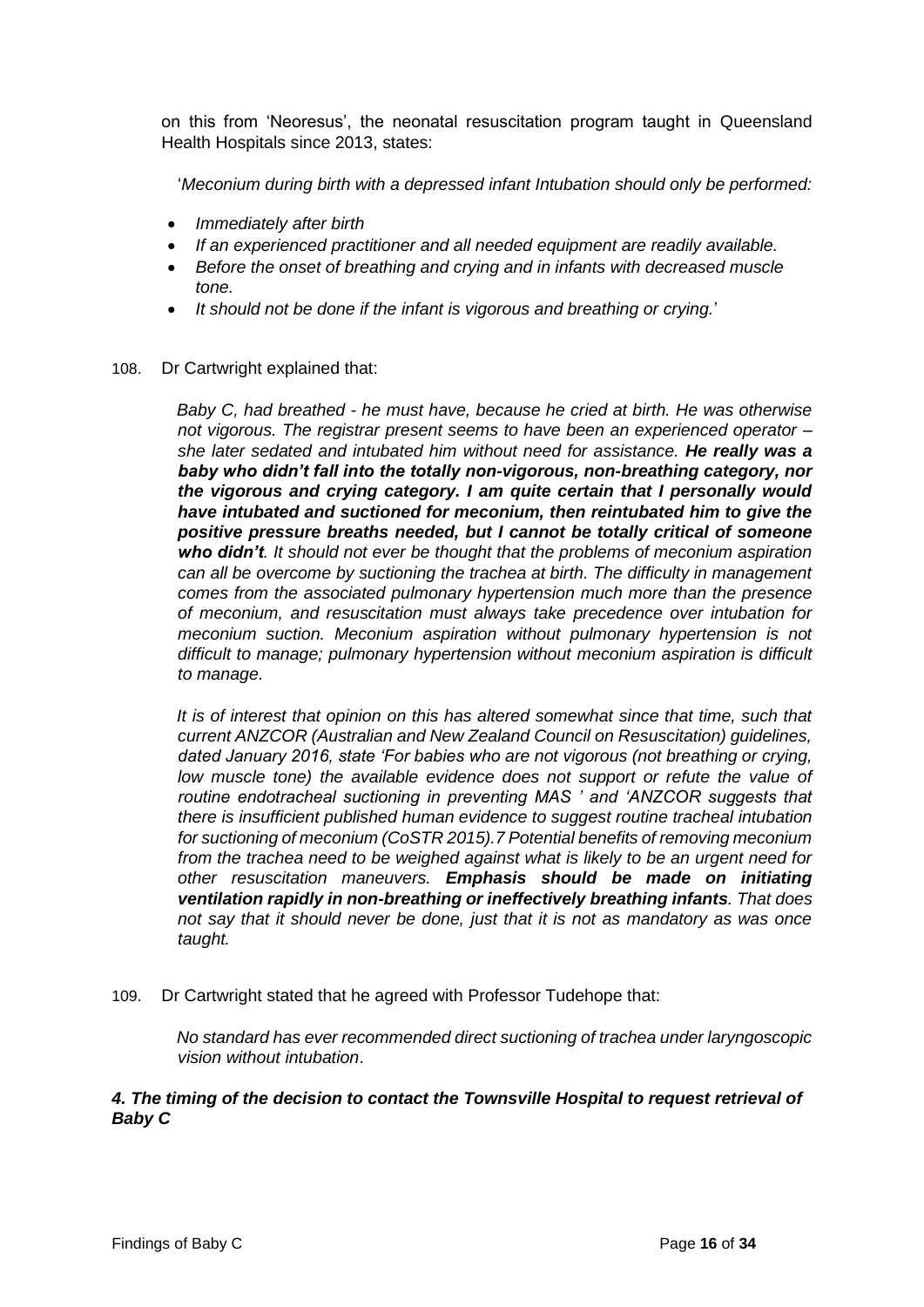on this from 'Neoresus', the neonatal resuscitation program taught in Queensland Health Hospitals since 2013, states:

'*Meconium during birth with a depressed infant Intubation should only be performed:* 

- *Immediately after birth*
- *If an experienced practitioner and all needed equipment are readily available.*
- *Before the onset of breathing and crying and in infants with decreased muscle tone.*
- *It should not be done if the infant is vigorous and breathing or crying.*'
- 108. Dr Cartwright explained that:

*Baby C, had breathed - he must have, because he cried at birth. He was otherwise not vigorous. The registrar present seems to have been an experienced operator – she later sedated and intubated him without need for assistance. He really was a baby who didn't fall into the totally non-vigorous, non-breathing category, nor the vigorous and crying category. I am quite certain that I personally would have intubated and suctioned for meconium, then reintubated him to give the positive pressure breaths needed, but I cannot be totally critical of someone who didn't. It should not ever be thought that the problems of meconium aspiration can all be overcome by suctioning the trachea at birth. The difficulty in management comes from the associated pulmonary hypertension much more than the presence of meconium, and resuscitation must always take precedence over intubation for meconium suction. Meconium aspiration without pulmonary hypertension is not difficult to manage; pulmonary hypertension without meconium aspiration is difficult to manage.* 

*It is of interest that opinion on this has altered somewhat since that time, such that current ANZCOR (Australian and New Zealand Council on Resuscitation) guidelines, dated January 2016, state 'For babies who are not vigorous (not breathing or crying,*  low muscle tone) the available evidence does not support or refute the value of *routine endotracheal suctioning in preventing MAS ' and 'ANZCOR suggests that there is insufficient published human evidence to suggest routine tracheal intubation for suctioning of meconium (CoSTR 2015).7 Potential benefits of removing meconium from the trachea need to be weighed against what is likely to be an urgent need for other resuscitation maneuvers. Emphasis should be made on initiating ventilation rapidly in non-breathing or ineffectively breathing infants. That does not say that it should never be done, just that it is not as mandatory as was once taught.* 

109. Dr Cartwright stated that he agreed with Professor Tudehope that:

*No standard has ever recommended direct suctioning of trachea under laryngoscopic vision without intubation*.

#### *4. The timing of the decision to contact the Townsville Hospital to request retrieval of Baby C*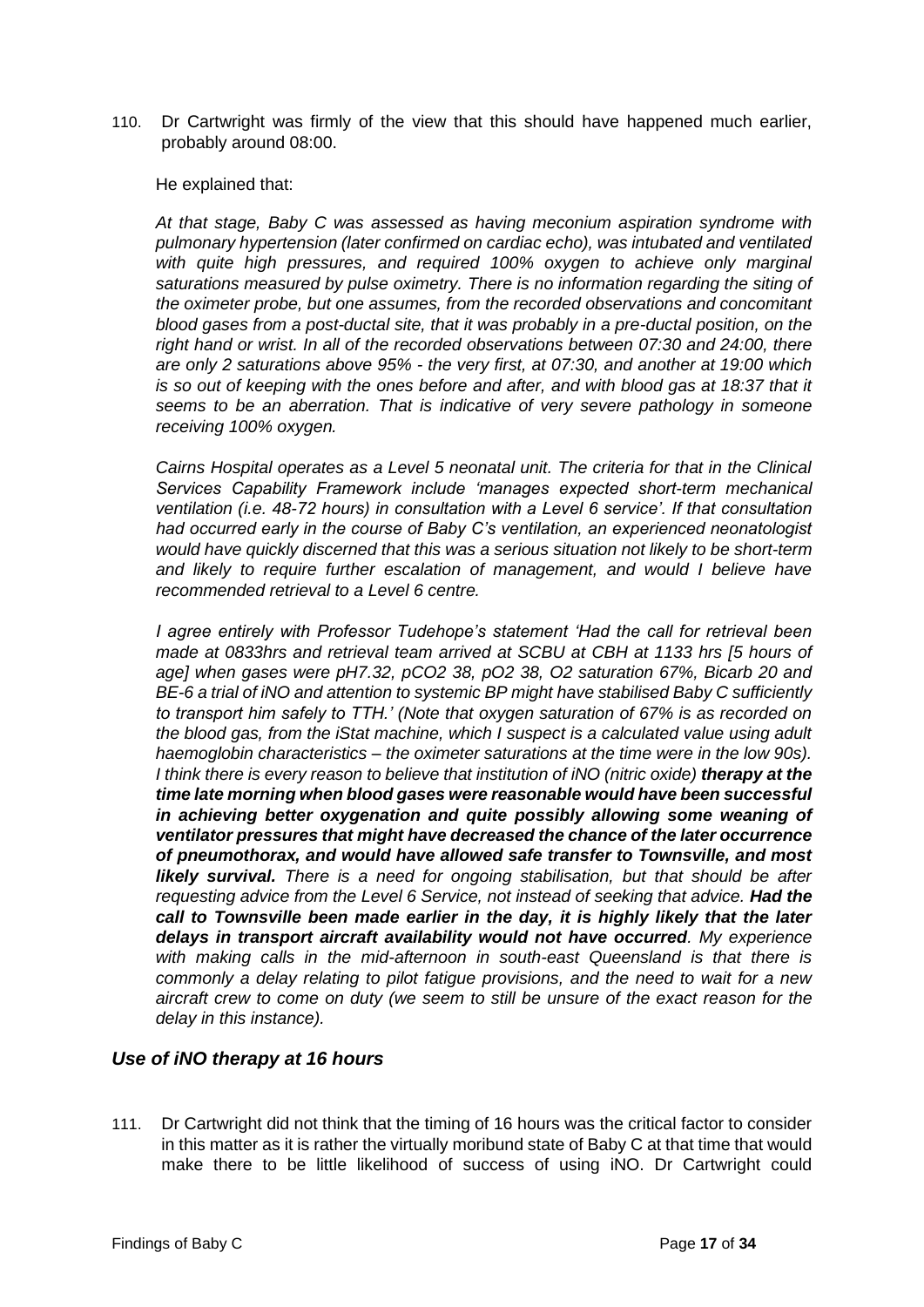110. Dr Cartwright was firmly of the view that this should have happened much earlier, probably around 08:00.

He explained that:

*At that stage, Baby C was assessed as having meconium aspiration syndrome with pulmonary hypertension (later confirmed on cardiac echo), was intubated and ventilated with quite high pressures, and required 100% oxygen to achieve only marginal saturations measured by pulse oximetry. There is no information regarding the siting of the oximeter probe, but one assumes, from the recorded observations and concomitant blood gases from a post-ductal site, that it was probably in a pre-ductal position, on the right hand or wrist. In all of the recorded observations between 07:30 and 24:00, there are only 2 saturations above 95% - the very first, at 07:30, and another at 19:00 which is so out of keeping with the ones before and after, and with blood gas at 18:37 that it seems to be an aberration. That is indicative of very severe pathology in someone receiving 100% oxygen.* 

*Cairns Hospital operates as a Level 5 neonatal unit. The criteria for that in the Clinical Services Capability Framework include 'manages expected short-term mechanical ventilation (i.e. 48-72 hours) in consultation with a Level 6 service'. If that consultation had occurred early in the course of Baby C's ventilation, an experienced neonatologist would have quickly discerned that this was a serious situation not likely to be short-term and likely to require further escalation of management, and would I believe have recommended retrieval to a Level 6 centre.* 

*I agree entirely with Professor Tudehope's statement 'Had the call for retrieval been made at 0833hrs and retrieval team arrived at SCBU at CBH at 1133 hrs [5 hours of age] when gases were pH7.32, pCO2 38, pO2 38, O2 saturation 67%, Bicarb 20 and BE-6 a trial of iNO and attention to systemic BP might have stabilised Baby C sufficiently to transport him safely to TTH.' (Note that oxygen saturation of 67% is as recorded on the blood gas, from the iStat machine, which I suspect is a calculated value using adult haemoglobin characteristics – the oximeter saturations at the time were in the low 90s). I think there is every reason to believe that institution of iNO (nitric oxide) therapy at the time late morning when blood gases were reasonable would have been successful in achieving better oxygenation and quite possibly allowing some weaning of ventilator pressures that might have decreased the chance of the later occurrence of pneumothorax, and would have allowed safe transfer to Townsville, and most likely survival. There is a need for ongoing stabilisation, but that should be after requesting advice from the Level 6 Service, not instead of seeking that advice. Had the call to Townsville been made earlier in the day, it is highly likely that the later delays in transport aircraft availability would not have occurred. My experience with making calls in the mid-afternoon in south-east Queensland is that there is commonly a delay relating to pilot fatigue provisions, and the need to wait for a new aircraft crew to come on duty (we seem to still be unsure of the exact reason for the delay in this instance).* 

#### <span id="page-19-0"></span>*Use of iNO therapy at 16 hours*

111. Dr Cartwright did not think that the timing of 16 hours was the critical factor to consider in this matter as it is rather the virtually moribund state of Baby C at that time that would make there to be little likelihood of success of using iNO. Dr Cartwright could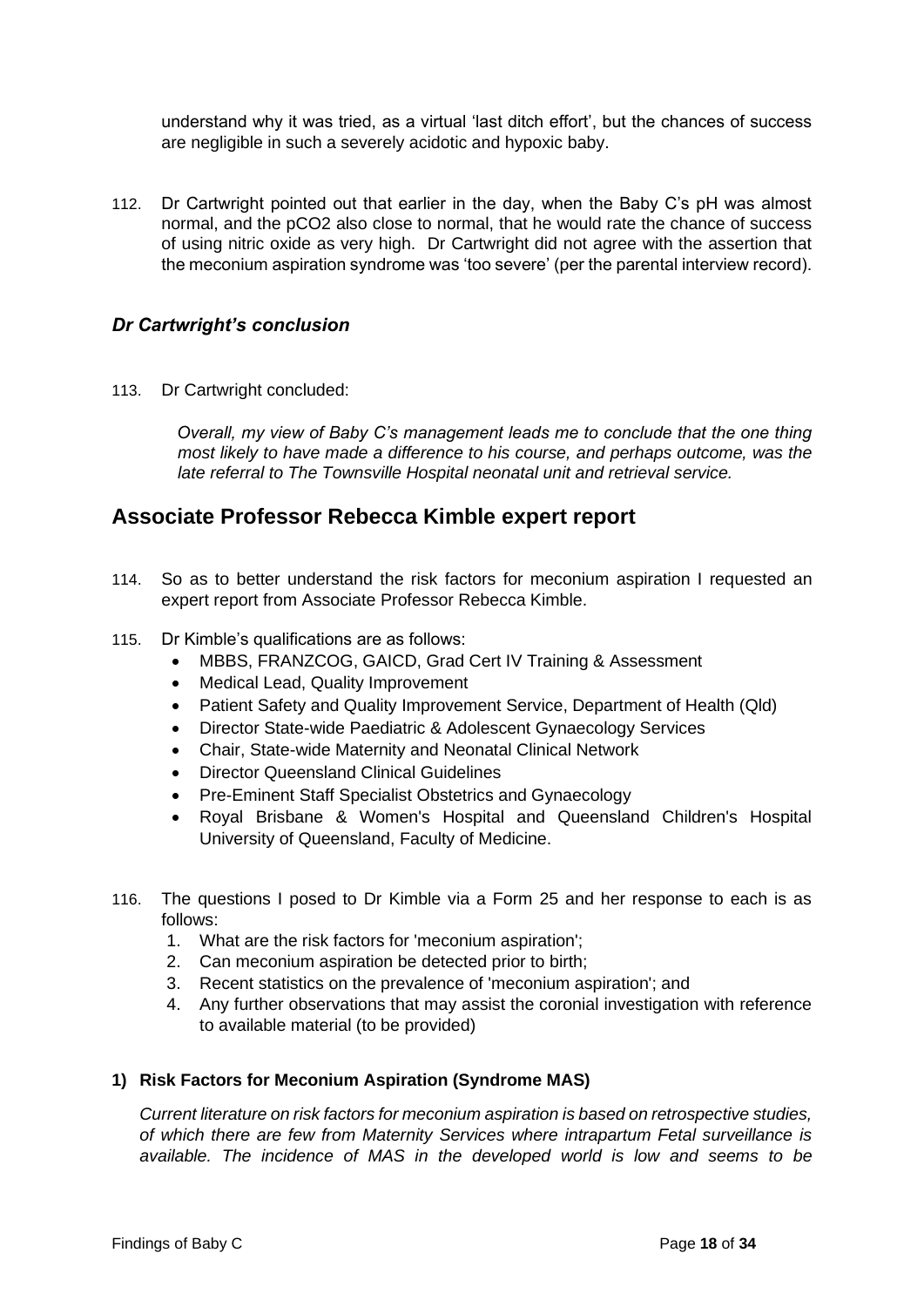understand why it was tried, as a virtual 'last ditch effort', but the chances of success are negligible in such a severely acidotic and hypoxic baby.

112. Dr Cartwright pointed out that earlier in the day, when the Baby C's pH was almost normal, and the pCO2 also close to normal, that he would rate the chance of success of using nitric oxide as very high. Dr Cartwright did not agree with the assertion that the meconium aspiration syndrome was 'too severe' (per the parental interview record).

#### <span id="page-20-0"></span>*Dr Cartwright's conclusion*

113. Dr Cartwright concluded:

*Overall, my view of Baby C's management leads me to conclude that the one thing most likely to have made a difference to his course, and perhaps outcome, was the late referral to The Townsville Hospital neonatal unit and retrieval service.* 

## <span id="page-20-1"></span>**Associate Professor Rebecca Kimble expert report**

- 114. So as to better understand the risk factors for meconium aspiration I requested an expert report from Associate Professor Rebecca Kimble.
- 115. Dr Kimble's qualifications are as follows:
	- MBBS, FRANZCOG, GAICD, Grad Cert IV Training & Assessment
	- Medical Lead, Quality Improvement
	- Patient Safety and Quality Improvement Service, Department of Health (Qld)
	- Director State-wide Paediatric & Adolescent Gynaecology Services
	- Chair, State-wide Maternity and Neonatal Clinical Network
	- Director Queensland Clinical Guidelines
	- Pre-Eminent Staff Specialist Obstetrics and Gynaecology
	- Royal Brisbane & Women's Hospital and Queensland Children's Hospital University of Queensland, Faculty of Medicine.
- 116. The questions I posed to Dr Kimble via a Form 25 and her response to each is as follows:
	- 1. What are the risk factors for 'meconium aspiration';
	- 2. Can meconium aspiration be detected prior to birth;
	- 3. Recent statistics on the prevalence of 'meconium aspiration'; and
	- 4. Any further observations that may assist the coronial investigation with reference to available material (to be provided)

#### **1) Risk Factors for Meconium Aspiration (Syndrome MAS)**

*Current literature on risk factors for meconium aspiration is based on retrospective studies, of which there are few from Maternity Services where intrapartum Fetal surveillance is available. The incidence of MAS in the developed world is low and seems to be*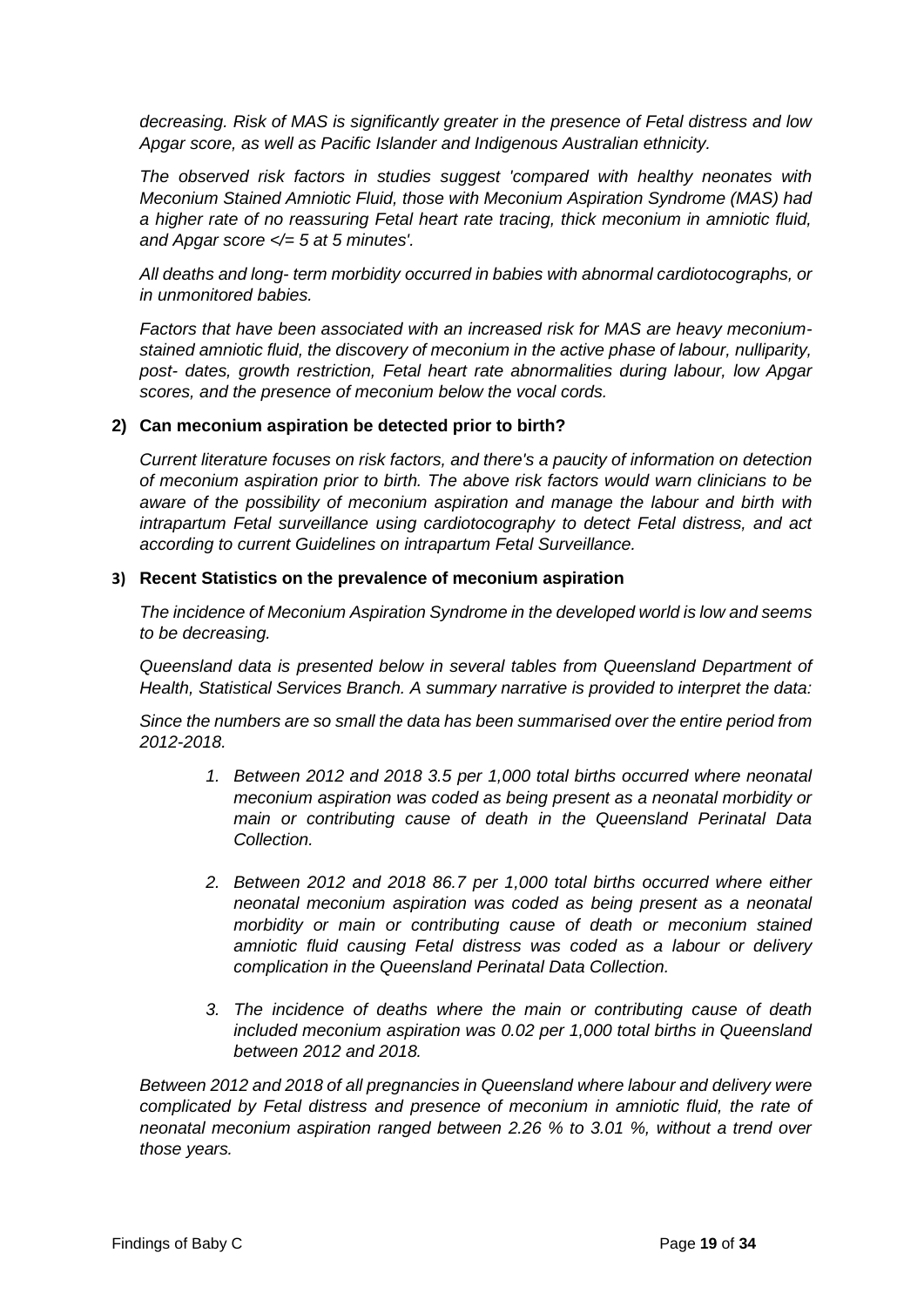*decreasing. Risk of MAS is significantly greater in the presence of Fetal distress and low Apgar score, as well as Pacific Islander and Indigenous Australian ethnicity.* 

*The observed risk factors in studies suggest 'compared with healthy neonates with Meconium Stained Amniotic Fluid, those with Meconium Aspiration Syndrome (MAS) had a higher rate of no reassuring Fetal heart rate tracing, thick meconium in amniotic fluid, and Apgar score </= 5 at 5 minutes'.*

*All deaths and long- term morbidity occurred in babies with abnormal cardiotocographs, or in unmonitored babies.*

*Factors that have been associated with an increased risk for MAS are heavy meconiumstained amniotic fluid, the discovery of meconium in the active phase of labour, nulliparity, post- dates, growth restriction, Fetal heart rate abnormalities during labour, low Apgar scores, and the presence of meconium below the vocal cords.*

#### **2) Can meconium aspiration be detected prior to birth?**

*Current literature focuses on risk factors, and there's a paucity of information on detection of meconium aspiration prior to birth. The above risk factors would warn clinicians to be aware of the possibility of meconium aspiration and manage the labour and birth with intrapartum Fetal surveillance using cardiotocography to detect Fetal distress, and act according to current Guidelines on intrapartum Fetal Surveillance.*

#### **3) Recent Statistics on the prevalence of meconium aspiration**

*The incidence of Meconium Aspiration Syndrome in the developed world is low and seems to be decreasing.* 

*Queensland data is presented below in several tables from Queensland Department of Health, Statistical Services Branch. A summary narrative is provided to interpret the data:* 

*Since the numbers are so small the data has been summarised over the entire period from 2012-2018.* 

- *1. Between 2012 and 2018 3.5 per 1,000 total births occurred where neonatal meconium aspiration was coded as being present as a neonatal morbidity or main or contributing cause of death in the Queensland Perinatal Data Collection.*
- *2. Between 2012 and 2018 86.7 per 1,000 total births occurred where either neonatal meconium aspiration was coded as being present as a neonatal morbidity or main or contributing cause of death or meconium stained amniotic fluid causing Fetal distress was coded as a labour or delivery complication in the Queensland Perinatal Data Collection.*
- *3. The incidence of deaths where the main or contributing cause of death included meconium aspiration was 0.02 per 1,000 total births in Queensland between 2012 and 2018.*

*Between 2012 and 2018 of all pregnancies in Queensland where labour and delivery were complicated by Fetal distress and presence of meconium in amniotic fluid, the rate of neonatal meconium aspiration ranged between 2.26 % to 3.01 %, without a trend over those years.*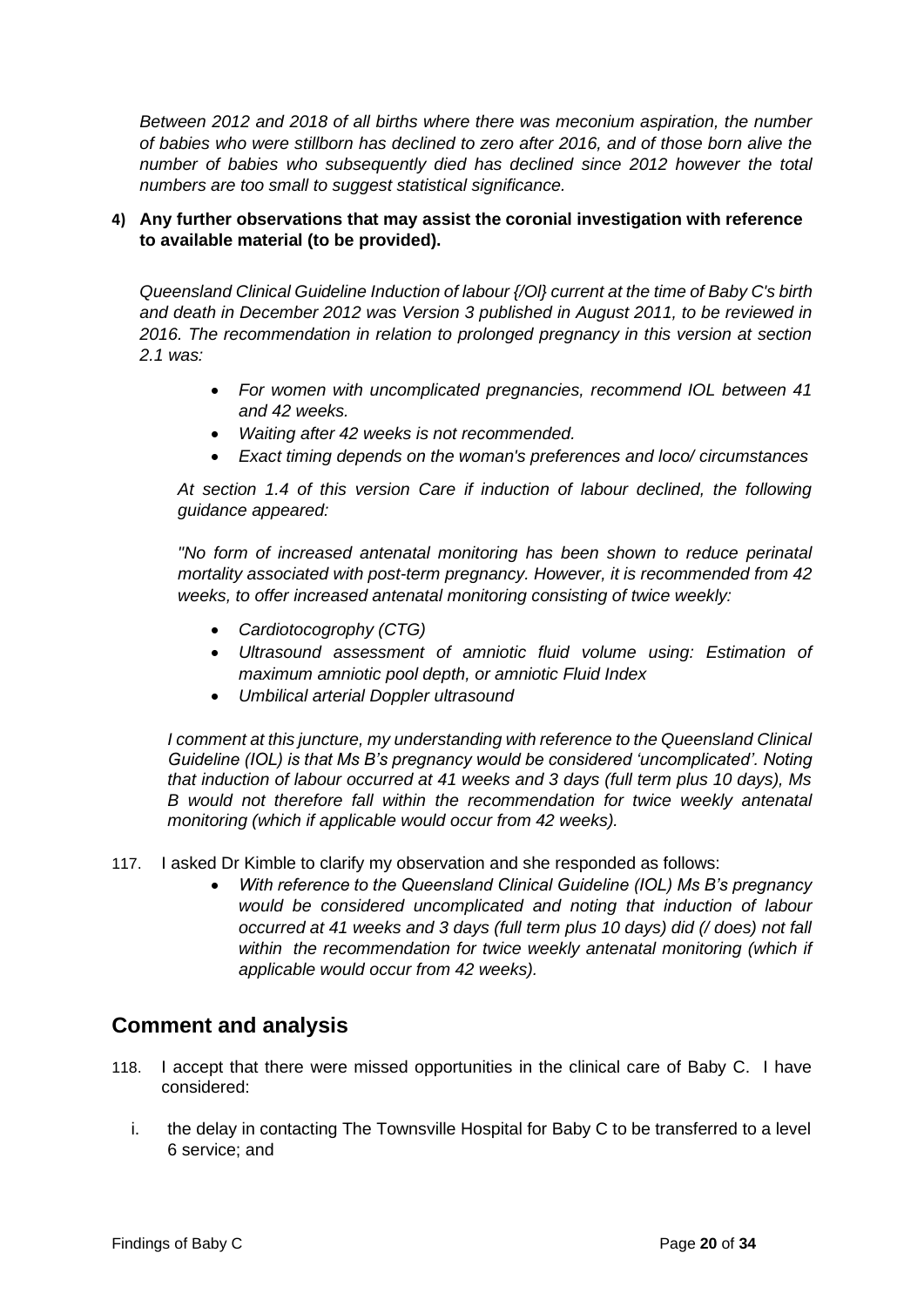*Between 2012 and 2018 of all births where there was meconium aspiration, the number of babies who were stillborn has declined to zero after 2016, and of those born alive the number of babies who subsequently died has declined since 2012 however the total numbers are too small to suggest statistical significance.*

#### **4) Any further observations that may assist the coronial investigation with reference to available material (to be provided).**

*Queensland Clinical Guideline Induction of labour {/Ol} current at the time of Baby C's birth and death in December 2012 was Version 3 published in August 2011, to be reviewed in 2016. The recommendation in relation to prolonged pregnancy in this version at section 2.1 was:*

- *For women with uncomplicated pregnancies, recommend IOL between 41 and 42 weeks.*
- *Waiting after 42 weeks is not recommended.*
- *Exact timing depends on the woman's preferences and loco/ circumstances*

*At section 1.4 of this version Care if induction of labour declined, the following guidance appeared:* 

*"No form of increased antenatal monitoring has been shown to reduce perinatal mortality associated with post-term pregnancy. However, it is recommended from 42 weeks, to offer increased antenatal monitoring consisting of twice weekly:*

- *Cardiotocogrophy (CTG)*
- *Ultrasound assessment of amniotic fluid volume using: Estimation of maximum amniotic pool depth, or amniotic Fluid Index*
- *Umbilical arterial Doppler ultrasound*

*I comment at this juncture, my understanding with reference to the Queensland Clinical Guideline (IOL) is that Ms B's pregnancy would be considered 'uncomplicated'. Noting that induction of labour occurred at 41 weeks and 3 days (full term plus 10 days), Ms B would not therefore fall within the recommendation for twice weekly antenatal monitoring (which if applicable would occur from 42 weeks).*

- 117. I asked Dr Kimble to clarify my observation and she responded as follows:
	- *With reference to the Queensland Clinical Guideline (IOL) Ms B's pregnancy would be considered uncomplicated and noting that induction of labour occurred at 41 weeks and 3 days (full term plus 10 days) did (/ does) not fall*  within the recommendation for twice weekly antenatal monitoring (which if *applicable would occur from 42 weeks).*

## <span id="page-22-0"></span>**Comment and analysis**

- 118. I accept that there were missed opportunities in the clinical care of Baby C. I have considered:
	- i. the delay in contacting The Townsville Hospital for Baby C to be transferred to a level 6 service; and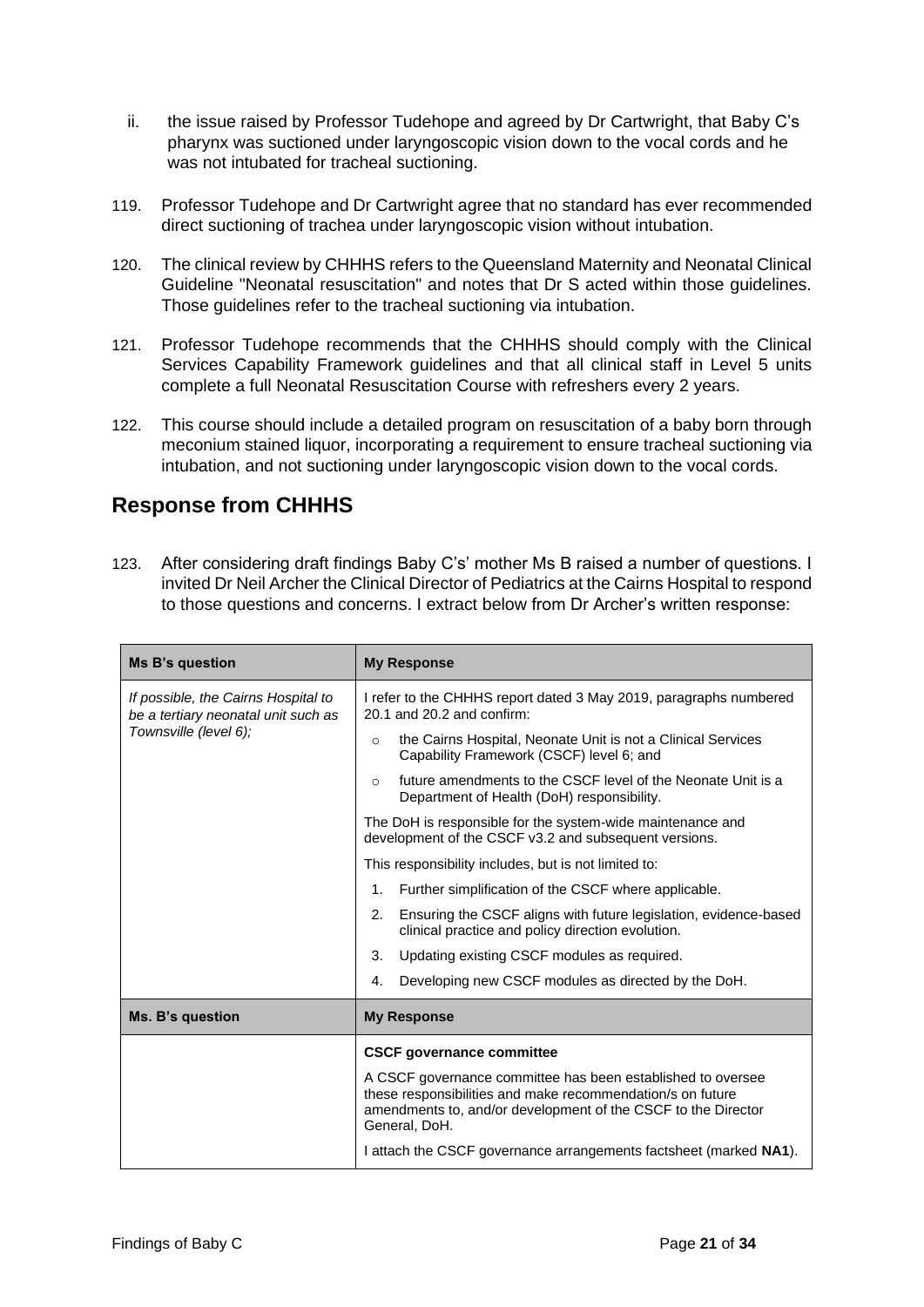- ii. the issue raised by Professor Tudehope and agreed by Dr Cartwright, that Baby C's pharynx was suctioned under laryngoscopic vision down to the vocal cords and he was not intubated for tracheal suctioning.
- 119. Professor Tudehope and Dr Cartwright agree that no standard has ever recommended direct suctioning of trachea under laryngoscopic vision without intubation.
- 120. The clinical review by CHHHS refers to the Queensland Maternity and Neonatal Clinical Guideline "Neonatal resuscitation" and notes that Dr S acted within those guidelines. Those guidelines refer to the tracheal suctioning via intubation.
- 121. Professor Tudehope recommends that the CHHHS should comply with the Clinical Services Capability Framework guidelines and that all clinical staff in Level 5 units complete a full Neonatal Resuscitation Course with refreshers every 2 years.
- 122. This course should include a detailed program on resuscitation of a baby born through meconium stained liquor, incorporating a requirement to ensure tracheal suctioning via intubation, and not suctioning under laryngoscopic vision down to the vocal cords.

## <span id="page-23-0"></span>**Response from CHHHS**

123. After considering draft findings Baby C's' mother Ms B raised a number of questions. I invited Dr Neil Archer the Clinical Director of Pediatrics at the Cairns Hospital to respond to those questions and concerns. I extract below from Dr Archer's written response:

| Ms B's question                                                            | <b>My Response</b>                                                                                                                                                                                          |
|----------------------------------------------------------------------------|-------------------------------------------------------------------------------------------------------------------------------------------------------------------------------------------------------------|
| If possible, the Cairns Hospital to<br>be a tertiary neonatal unit such as | I refer to the CHHHS report dated 3 May 2019, paragraphs numbered<br>20.1 and 20.2 and confirm:                                                                                                             |
| Townsville (level 6);                                                      | the Cairns Hospital, Neonate Unit is not a Clinical Services<br>$\Omega$<br>Capability Framework (CSCF) level 6; and                                                                                        |
|                                                                            | future amendments to the CSCF level of the Neonate Unit is a<br>$\Omega$<br>Department of Health (DoH) responsibility.                                                                                      |
|                                                                            | The DoH is responsible for the system-wide maintenance and<br>development of the CSCF v3.2 and subsequent versions.                                                                                         |
|                                                                            | This responsibility includes, but is not limited to:                                                                                                                                                        |
|                                                                            | Further simplification of the CSCF where applicable.<br>1.                                                                                                                                                  |
|                                                                            | 2.<br>Ensuring the CSCF aligns with future legislation, evidence-based<br>clinical practice and policy direction evolution.                                                                                 |
|                                                                            | 3.<br>Updating existing CSCF modules as required.                                                                                                                                                           |
|                                                                            | Developing new CSCF modules as directed by the DoH.<br>4.                                                                                                                                                   |
| Ms. B's question                                                           | <b>My Response</b>                                                                                                                                                                                          |
|                                                                            | <b>CSCF governance committee</b>                                                                                                                                                                            |
|                                                                            | A CSCF governance committee has been established to oversee<br>these responsibilities and make recommendation/s on future<br>amendments to, and/or development of the CSCF to the Director<br>General, DoH. |
|                                                                            | I attach the CSCF governance arrangements factsheet (marked NA1).                                                                                                                                           |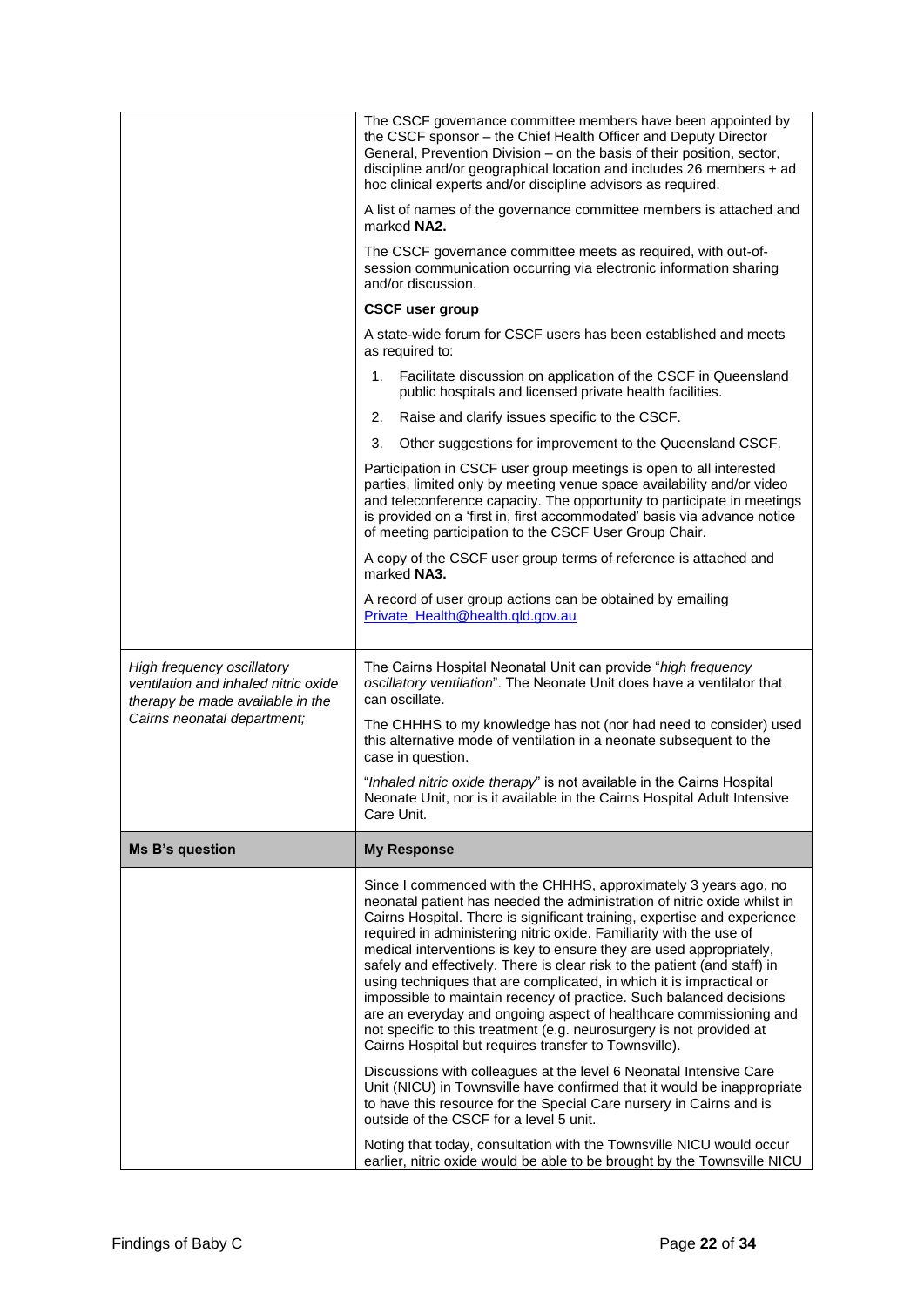|                                                                                                                                       | The CSCF governance committee members have been appointed by<br>the CSCF sponsor - the Chief Health Officer and Deputy Director<br>General, Prevention Division - on the basis of their position, sector,<br>discipline and/or geographical location and includes 26 members $+$ ad<br>hoc clinical experts and/or discipline advisors as required.<br>A list of names of the governance committee members is attached and<br>marked NA2.<br>The CSCF governance committee meets as required, with out-of-<br>session communication occurring via electronic information sharing<br>and/or discussion.<br><b>CSCF user group</b><br>A state-wide forum for CSCF users has been established and meets<br>as required to:<br>Facilitate discussion on application of the CSCF in Queensland<br>1.<br>public hospitals and licensed private health facilities.<br>Raise and clarify issues specific to the CSCF.<br>2.<br>3.<br>Other suggestions for improvement to the Queensland CSCF.<br>Participation in CSCF user group meetings is open to all interested<br>parties, limited only by meeting venue space availability and/or video<br>and teleconference capacity. The opportunity to participate in meetings<br>is provided on a 'first in, first accommodated' basis via advance notice<br>of meeting participation to the CSCF User Group Chair.<br>A copy of the CSCF user group terms of reference is attached and<br>marked NA3.<br>A record of user group actions can be obtained by emailing<br>Private_Health@health.qld.gov.au |
|---------------------------------------------------------------------------------------------------------------------------------------|-----------------------------------------------------------------------------------------------------------------------------------------------------------------------------------------------------------------------------------------------------------------------------------------------------------------------------------------------------------------------------------------------------------------------------------------------------------------------------------------------------------------------------------------------------------------------------------------------------------------------------------------------------------------------------------------------------------------------------------------------------------------------------------------------------------------------------------------------------------------------------------------------------------------------------------------------------------------------------------------------------------------------------------------------------------------------------------------------------------------------------------------------------------------------------------------------------------------------------------------------------------------------------------------------------------------------------------------------------------------------------------------------------------------------------------------------------------------------------------------------------------------------------------------------|
| High frequency oscillatory<br>ventilation and inhaled nitric oxide<br>therapy be made available in the<br>Cairns neonatal department; | The Cairns Hospital Neonatal Unit can provide "high frequency<br>oscillatory ventilation". The Neonate Unit does have a ventilator that<br>can oscillate.<br>The CHHHS to my knowledge has not (nor had need to consider) used<br>this alternative mode of ventilation in a neonate subsequent to the<br>case in question.<br>"Inhaled nitric oxide therapy" is not available in the Cairns Hospital<br>Neonate Unit, nor is it available in the Cairns Hospital Adult Intensive<br>Care Unit.                                                                                                                                                                                                                                                                                                                                                                                                                                                                                                                                                                                                                                                                                                                                                                                                                                                                                                                                                                                                                                                |
| Ms B's question                                                                                                                       | <b>My Response</b>                                                                                                                                                                                                                                                                                                                                                                                                                                                                                                                                                                                                                                                                                                                                                                                                                                                                                                                                                                                                                                                                                                                                                                                                                                                                                                                                                                                                                                                                                                                            |
|                                                                                                                                       | Since I commenced with the CHHHS, approximately 3 years ago, no<br>neonatal patient has needed the administration of nitric oxide whilst in<br>Cairns Hospital. There is significant training, expertise and experience<br>required in administering nitric oxide. Familiarity with the use of<br>medical interventions is key to ensure they are used appropriately,<br>safely and effectively. There is clear risk to the patient (and staff) in<br>using techniques that are complicated, in which it is impractical or<br>impossible to maintain recency of practice. Such balanced decisions<br>are an everyday and ongoing aspect of healthcare commissioning and<br>not specific to this treatment (e.g. neurosurgery is not provided at<br>Cairns Hospital but requires transfer to Townsville).<br>Discussions with colleagues at the level 6 Neonatal Intensive Care<br>Unit (NICU) in Townsville have confirmed that it would be inappropriate<br>to have this resource for the Special Care nursery in Cairns and is<br>outside of the CSCF for a level 5 unit.                                                                                                                                                                                                                                                                                                                                                                                                                                                                   |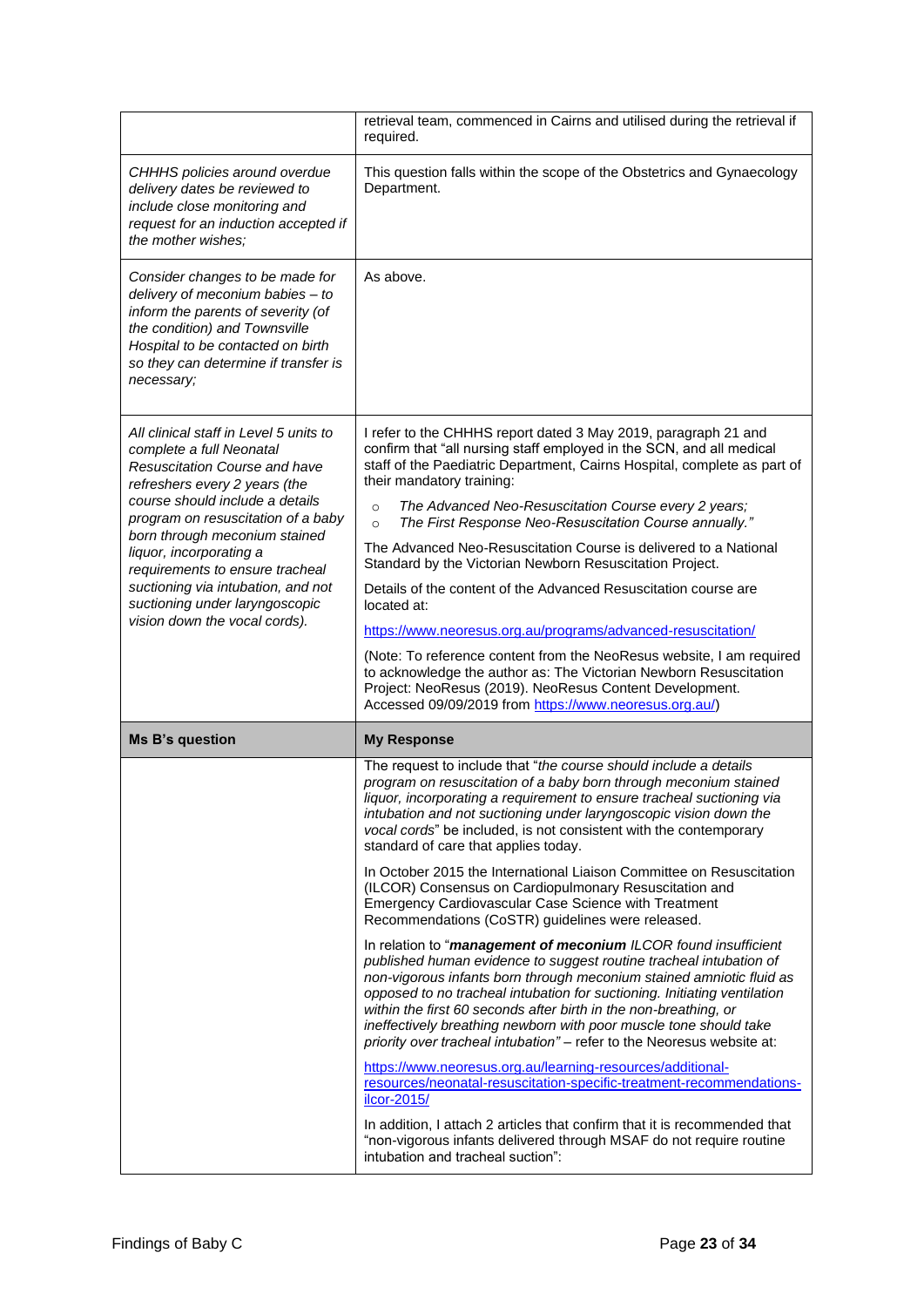|                                                                                                                                                                                                                                                                                                                                                                                                                       | retrieval team, commenced in Cairns and utilised during the retrieval if<br>required.                                                                                                                                                                                                                                                                                                                                                                                                                                                                                                                                                                                                                                                                                                                                                                                                                                                                                                                                                                                                                                                                          |
|-----------------------------------------------------------------------------------------------------------------------------------------------------------------------------------------------------------------------------------------------------------------------------------------------------------------------------------------------------------------------------------------------------------------------|----------------------------------------------------------------------------------------------------------------------------------------------------------------------------------------------------------------------------------------------------------------------------------------------------------------------------------------------------------------------------------------------------------------------------------------------------------------------------------------------------------------------------------------------------------------------------------------------------------------------------------------------------------------------------------------------------------------------------------------------------------------------------------------------------------------------------------------------------------------------------------------------------------------------------------------------------------------------------------------------------------------------------------------------------------------------------------------------------------------------------------------------------------------|
| CHHHS policies around overdue<br>delivery dates be reviewed to<br>include close monitoring and<br>request for an induction accepted if<br>the mother wishes;                                                                                                                                                                                                                                                          | This question falls within the scope of the Obstetrics and Gynaecology<br>Department.                                                                                                                                                                                                                                                                                                                                                                                                                                                                                                                                                                                                                                                                                                                                                                                                                                                                                                                                                                                                                                                                          |
| Consider changes to be made for<br>delivery of meconium babies - to<br>inform the parents of severity (of<br>the condition) and Townsville<br>Hospital to be contacted on birth<br>so they can determine if transfer is<br>necessary;                                                                                                                                                                                 | As above.                                                                                                                                                                                                                                                                                                                                                                                                                                                                                                                                                                                                                                                                                                                                                                                                                                                                                                                                                                                                                                                                                                                                                      |
| All clinical staff in Level 5 units to<br>complete a full Neonatal<br>Resuscitation Course and have<br>refreshers every 2 years (the<br>course should include a details<br>program on resuscitation of a baby<br>born through meconium stained<br>liquor, incorporating a<br>requirements to ensure tracheal<br>suctioning via intubation, and not<br>suctioning under laryngoscopic<br>vision down the vocal cords). | I refer to the CHHHS report dated 3 May 2019, paragraph 21 and<br>confirm that "all nursing staff employed in the SCN, and all medical<br>staff of the Paediatric Department, Cairns Hospital, complete as part of<br>their mandatory training:<br>The Advanced Neo-Resuscitation Course every 2 years;<br>$\circ$<br>The First Response Neo-Resuscitation Course annually."<br>$\circ$<br>The Advanced Neo-Resuscitation Course is delivered to a National<br>Standard by the Victorian Newborn Resuscitation Project.<br>Details of the content of the Advanced Resuscitation course are<br>located at:<br>https://www.neoresus.org.au/programs/advanced-resuscitation/<br>(Note: To reference content from the NeoResus website, I am required<br>to acknowledge the author as: The Victorian Newborn Resuscitation<br>Project: NeoResus (2019). NeoResus Content Development.<br>Accessed 09/09/2019 from https://www.neoresus.org.au/)                                                                                                                                                                                                                    |
| <b>Ms B's question</b>                                                                                                                                                                                                                                                                                                                                                                                                | <b>My Response</b>                                                                                                                                                                                                                                                                                                                                                                                                                                                                                                                                                                                                                                                                                                                                                                                                                                                                                                                                                                                                                                                                                                                                             |
|                                                                                                                                                                                                                                                                                                                                                                                                                       | The request to include that "the course should include a details<br>program on resuscitation of a baby born through meconium stained<br>liquor, incorporating a requirement to ensure tracheal suctioning via<br>intubation and not suctioning under laryngoscopic vision down the<br>vocal cords" be included, is not consistent with the contemporary<br>standard of care that applies today.<br>In October 2015 the International Liaison Committee on Resuscitation<br>(ILCOR) Consensus on Cardiopulmonary Resuscitation and<br>Emergency Cardiovascular Case Science with Treatment<br>Recommendations (CoSTR) guidelines were released.<br>In relation to "management of meconium ILCOR found insufficient<br>published human evidence to suggest routine tracheal intubation of<br>non-vigorous infants born through meconium stained amniotic fluid as<br>opposed to no tracheal intubation for suctioning. Initiating ventilation<br>within the first 60 seconds after birth in the non-breathing, or<br>ineffectively breathing newborn with poor muscle tone should take<br>priority over tracheal intubation" - refer to the Neoresus website at: |
|                                                                                                                                                                                                                                                                                                                                                                                                                       | https://www.neoresus.org.au/learning-resources/additional-<br>resources/neonatal-resuscitation-specific-treatment-recommendations-<br>ilcor-2015/<br>In addition, I attach 2 articles that confirm that it is recommended that<br>"non-vigorous infants delivered through MSAF do not require routine<br>intubation and tracheal suction":                                                                                                                                                                                                                                                                                                                                                                                                                                                                                                                                                                                                                                                                                                                                                                                                                     |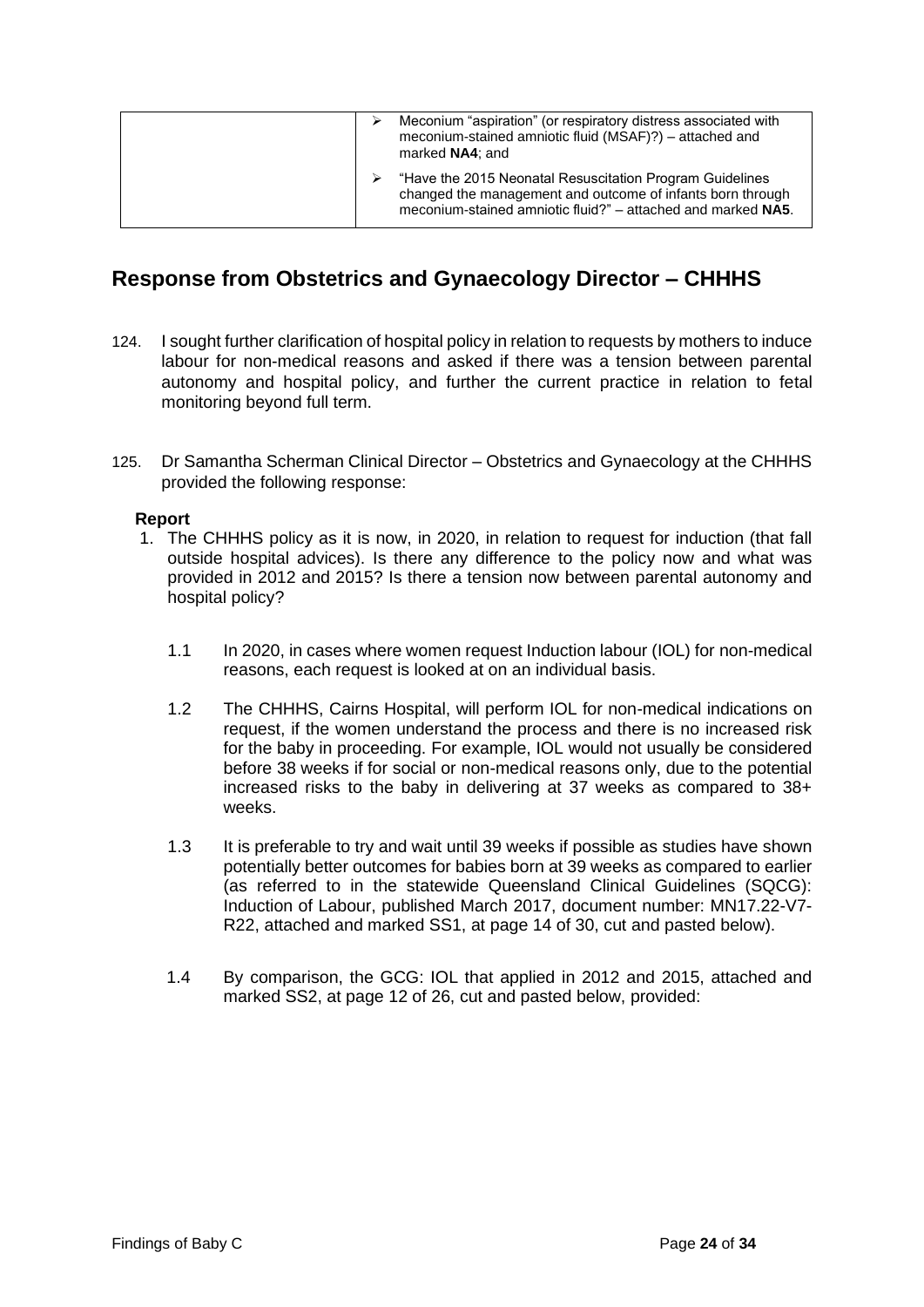| Meconium "aspiration" (or respiratory distress associated with<br>meconium-stained amniotic fluid (MSAF)?) - attached and<br>marked NA4; and                                           |
|----------------------------------------------------------------------------------------------------------------------------------------------------------------------------------------|
| "Have the 2015 Neonatal Resuscitation Program Guidelines<br>changed the management and outcome of infants born through<br>meconium-stained amniotic fluid?" – attached and marked NA5. |

## <span id="page-26-0"></span>**Response from Obstetrics and Gynaecology Director – CHHHS**

- 124. I sought further clarification of hospital policy in relation to requests by mothers to induce labour for non-medical reasons and asked if there was a tension between parental autonomy and hospital policy, and further the current practice in relation to fetal monitoring beyond full term.
- 125. Dr Samantha Scherman Clinical Director Obstetrics and Gynaecology at the CHHHS provided the following response:

#### **Report**

- 1. The CHHHS policy as it is now, in 2020, in relation to request for induction (that fall outside hospital advices). Is there any difference to the policy now and what was provided in 2012 and 2015? Is there a tension now between parental autonomy and hospital policy?
	- 1.1 In 2020, in cases where women request Induction labour (IOL) for non-medical reasons, each request is looked at on an individual basis.
	- 1.2 The CHHHS, Cairns Hospital, will perform IOL for non-medical indications on request, if the women understand the process and there is no increased risk for the baby in proceeding. For example, IOL would not usually be considered before 38 weeks if for social or non-medical reasons only, due to the potential increased risks to the baby in delivering at 37 weeks as compared to 38+ weeks.
	- 1.3 It is preferable to try and wait until 39 weeks if possible as studies have shown potentially better outcomes for babies born at 39 weeks as compared to earlier (as referred to in the statewide Queensland Clinical Guidelines (SQCG): Induction of Labour, published March 2017, document number: MN17.22-V7- R22, attached and marked SS1, at page 14 of 30, cut and pasted below).
	- 1.4 By comparison, the GCG: IOL that applied in 2012 and 2015, attached and marked SS2, at page 12 of 26, cut and pasted below, provided: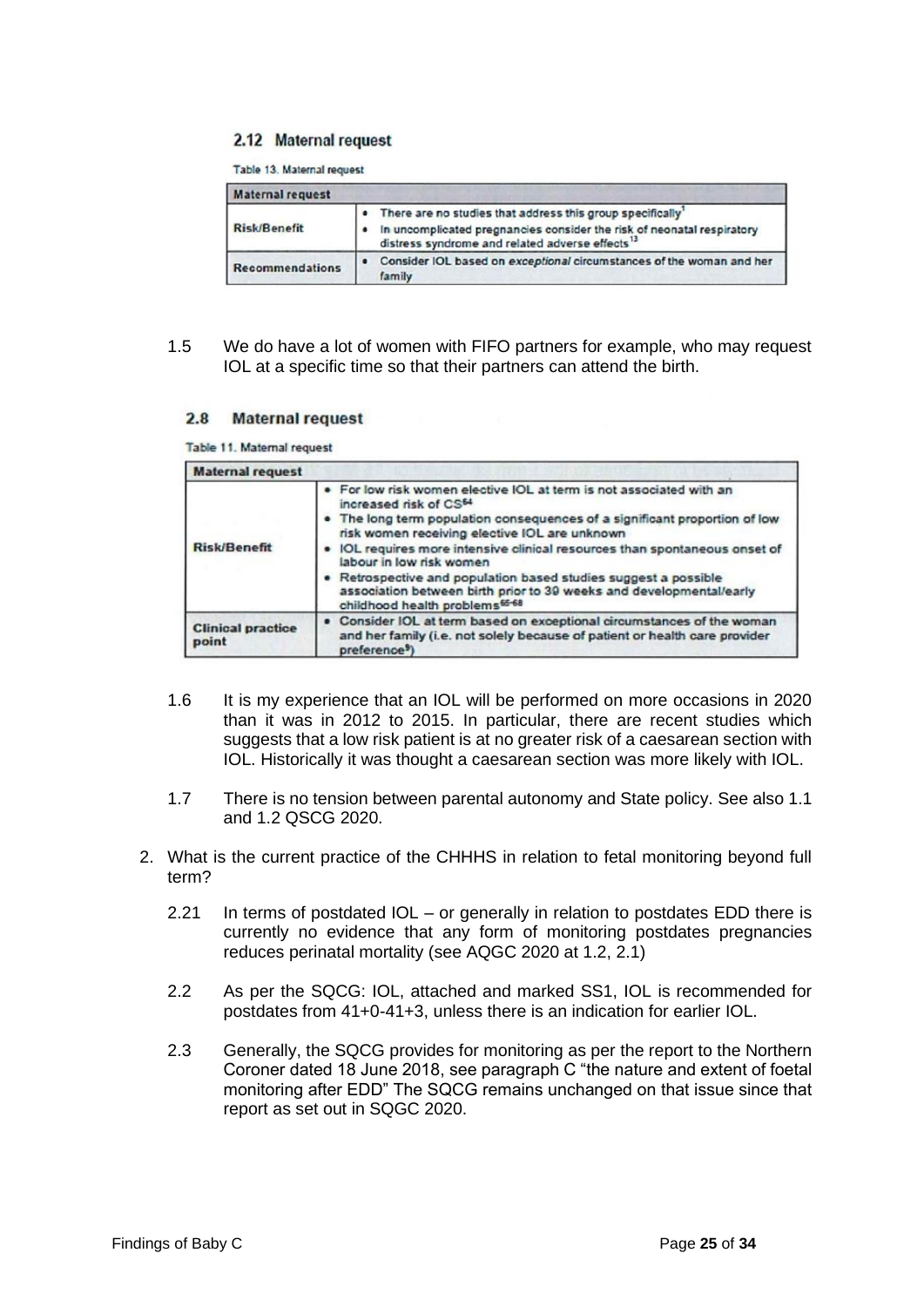#### 2.12 Maternal request

Table 13. Maternal request

| <b>Maternal request</b> |                                                                                                                                                                                                    |  |
|-------------------------|----------------------------------------------------------------------------------------------------------------------------------------------------------------------------------------------------|--|
| <b>Risk/Benefit</b>     | There are no studies that address this group specifically<br>In uncomplicated pregnancies consider the risk of neonatal respiratory<br>distress syndrome and related adverse effects <sup>13</sup> |  |
| <b>Recommendations</b>  | Consider IOL based on exceptional circumstances of the woman and her<br>$\bullet$<br>family                                                                                                        |  |

1.5 We do have a lot of women with FIFO partners for example, who may request IOL at a specific time so that their partners can attend the birth.

#### $2.8$ **Maternal request**

Table 11. Maternal request

| <b>Maternal request</b>           |                                                                                                                                                                                                                                                                                                                                                                                                                                                                                                                                            |
|-----------------------------------|--------------------------------------------------------------------------------------------------------------------------------------------------------------------------------------------------------------------------------------------------------------------------------------------------------------------------------------------------------------------------------------------------------------------------------------------------------------------------------------------------------------------------------------------|
| <b>Risk/Benefit</b>               | . For low risk women elective IOL at term is not associated with an<br>increased risk of CS <sup>64</sup><br>. The long term population consequences of a significant proportion of low<br>risk women receiving elective IOL are unknown<br>. IOL requires more intensive clinical resources than spontaneous onset of<br>labour in low risk women<br>. Retrospective and population based studies suggest a possible<br>association between birth prior to 39 weeks and developmental/early<br>childhood health problems <sup>65-68</sup> |
| <b>Clinical practice</b><br>point | . Consider IOL at term based on exceptional circumstances of the woman<br>and her family (i.e. not solely because of patient or health care provider<br>preference <sup>9</sup> )                                                                                                                                                                                                                                                                                                                                                          |

- 1.6 It is my experience that an IOL will be performed on more occasions in 2020 than it was in 2012 to 2015. In particular, there are recent studies which suggests that a low risk patient is at no greater risk of a caesarean section with IOL. Historically it was thought a caesarean section was more likely with IOL.
- 1.7 There is no tension between parental autonomy and State policy. See also 1.1 and 1.2 QSCG 2020.
- <span id="page-27-0"></span>2. What is the current practice of the CHHHS in relation to fetal monitoring beyond full term?
	- 2.21 In terms of postdated IOL or generally in relation to postdates EDD there is currently no evidence that any form of monitoring postdates pregnancies reduces perinatal mortality (see AQGC 2020 at 1.2, 2.1)
	- 2.2 As per the SQCG: IOL, attached and marked SS1, IOL is recommended for postdates from 41+0-41+3, unless there is an indication for earlier IOL.
	- 2.3 Generally, the SQCG provides for monitoring as per the report to the Northern Coroner dated 18 June 2018, see paragraph C "the nature and extent of foetal monitoring after EDD" The SQCG remains unchanged on that issue since that report as set out in SQGC 2020.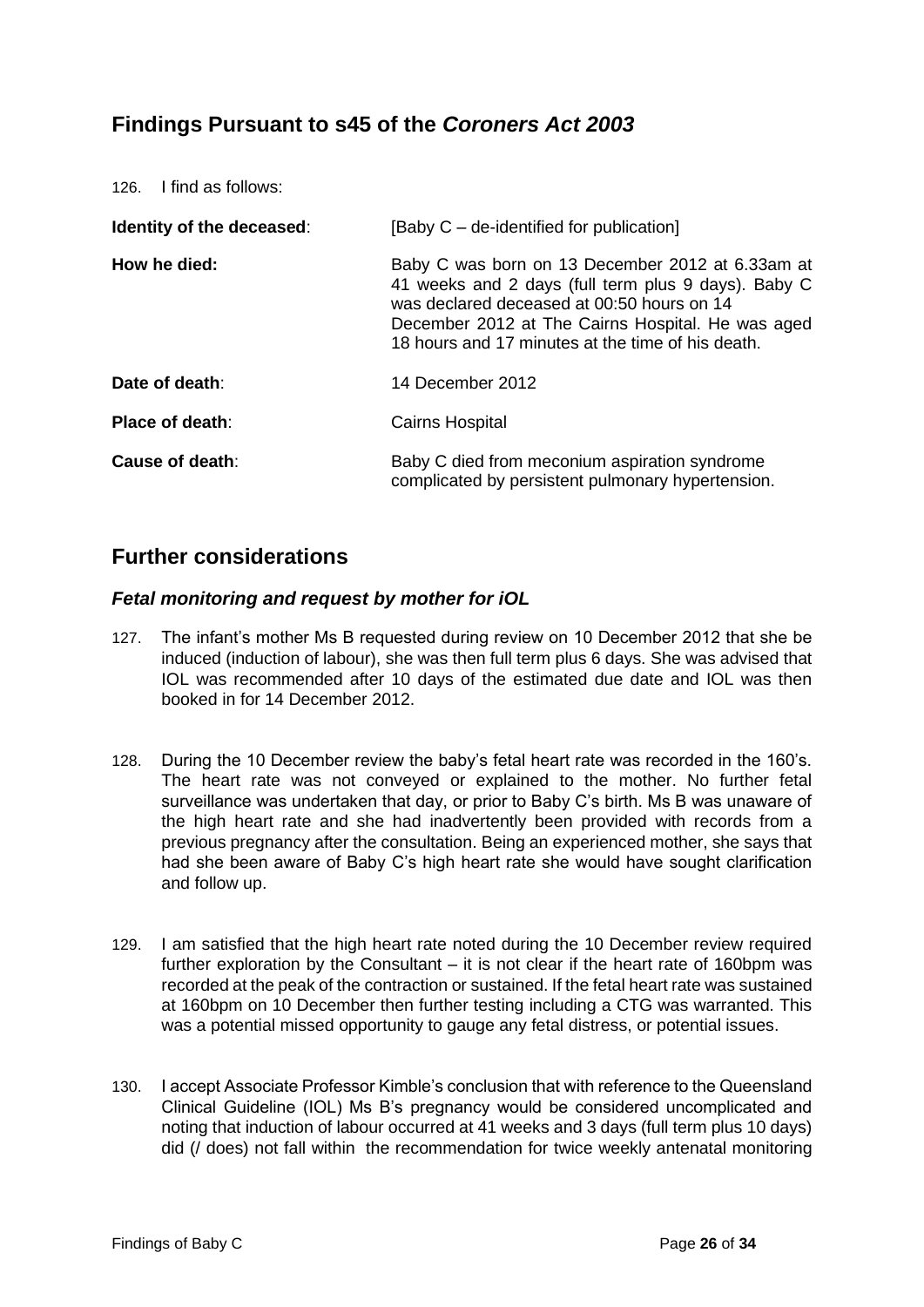## **Findings Pursuant to s45 of the** *Coroners Act 2003*

| 126. I find as follows:          |                                                                                                                                                                                                                                                                 |
|----------------------------------|-----------------------------------------------------------------------------------------------------------------------------------------------------------------------------------------------------------------------------------------------------------------|
| <b>Identity of the deceased:</b> | [Baby C – de-identified for publication]                                                                                                                                                                                                                        |
| How he died:                     | Baby C was born on 13 December 2012 at 6.33am at<br>41 weeks and 2 days (full term plus 9 days). Baby C<br>was declared deceased at 00:50 hours on 14<br>December 2012 at The Cairns Hospital. He was aged<br>18 hours and 17 minutes at the time of his death. |
| Date of death:                   | 14 December 2012                                                                                                                                                                                                                                                |
| Place of death:                  | <b>Cairns Hospital</b>                                                                                                                                                                                                                                          |
| Cause of death:                  | Baby C died from meconium aspiration syndrome<br>complicated by persistent pulmonary hypertension.                                                                                                                                                              |

## <span id="page-28-0"></span>**Further considerations**

#### <span id="page-28-1"></span>*Fetal monitoring and request by mother for iOL*

- 127. The infant's mother Ms B requested during review on 10 December 2012 that she be induced (induction of labour), she was then full term plus 6 days. She was advised that IOL was recommended after 10 days of the estimated due date and IOL was then booked in for 14 December 2012.
- 128. During the 10 December review the baby's fetal heart rate was recorded in the 160's. The heart rate was not conveyed or explained to the mother. No further fetal surveillance was undertaken that day, or prior to Baby C's birth. Ms B was unaware of the high heart rate and she had inadvertently been provided with records from a previous pregnancy after the consultation. Being an experienced mother, she says that had she been aware of Baby C's high heart rate she would have sought clarification and follow up.
- 129. I am satisfied that the high heart rate noted during the 10 December review required further exploration by the Consultant – it is not clear if the heart rate of 160bpm was recorded at the peak of the contraction or sustained. If the fetal heart rate was sustained at 160bpm on 10 December then further testing including a CTG was warranted. This was a potential missed opportunity to gauge any fetal distress, or potential issues.
- 130. I accept Associate Professor Kimble's conclusion that with reference to the Queensland Clinical Guideline (IOL) Ms B's pregnancy would be considered uncomplicated and noting that induction of labour occurred at 41 weeks and 3 days (full term plus 10 days) did (/ does) not fall within the recommendation for twice weekly antenatal monitoring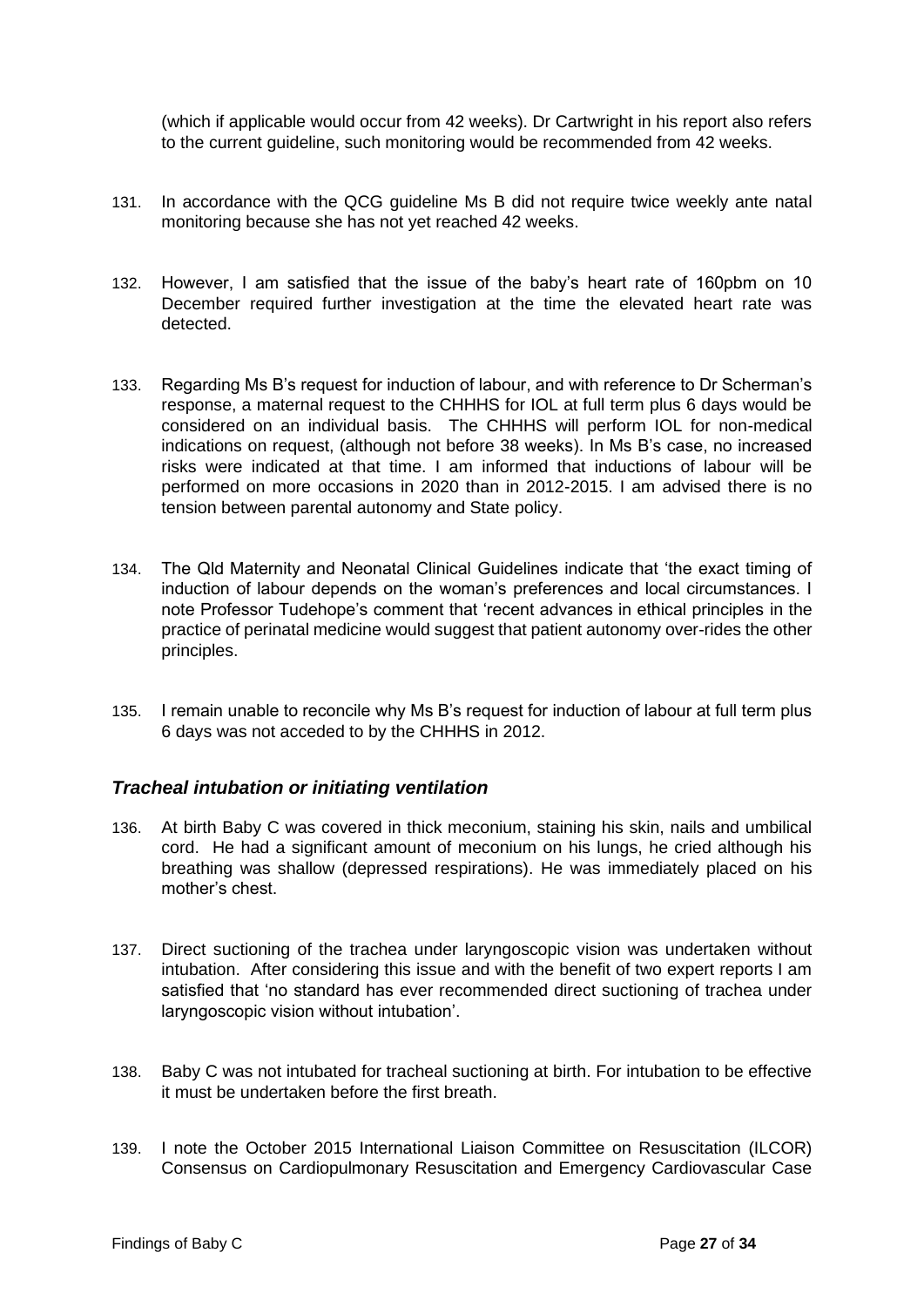(which if applicable would occur from 42 weeks). Dr Cartwright in his report also refers to the current guideline, such monitoring would be recommended from 42 weeks.

- 131. In accordance with the QCG guideline Ms B did not require twice weekly ante natal monitoring because she has not yet reached 42 weeks.
- 132. However, I am satisfied that the issue of the baby's heart rate of 160pbm on 10 December required further investigation at the time the elevated heart rate was detected.
- 133. Regarding Ms B's request for induction of labour, and with reference to Dr Scherman's response, a maternal request to the CHHHS for IOL at full term plus 6 days would be considered on an individual basis. The CHHHS will perform IOL for non-medical indications on request, (although not before 38 weeks). In Ms B's case, no increased risks were indicated at that time. I am informed that inductions of labour will be performed on more occasions in 2020 than in 2012-2015. I am advised there is no tension between parental autonomy and State policy.
- 134. The Qld Maternity and Neonatal Clinical Guidelines indicate that 'the exact timing of induction of labour depends on the woman's preferences and local circumstances. I note Professor Tudehope's comment that 'recent advances in ethical principles in the practice of perinatal medicine would suggest that patient autonomy over-rides the other principles.
- 135. I remain unable to reconcile why Ms B's request for induction of labour at full term plus 6 days was not acceded to by the CHHHS in 2012.

#### <span id="page-29-0"></span>*Tracheal intubation or initiating ventilation*

- 136. At birth Baby C was covered in thick meconium, staining his skin, nails and umbilical cord. He had a significant amount of meconium on his lungs, he cried although his breathing was shallow (depressed respirations). He was immediately placed on his mother's chest.
- 137. Direct suctioning of the trachea under laryngoscopic vision was undertaken without intubation. After considering this issue and with the benefit of two expert reports I am satisfied that 'no standard has ever recommended direct suctioning of trachea under laryngoscopic vision without intubation'.
- 138. Baby C was not intubated for tracheal suctioning at birth. For intubation to be effective it must be undertaken before the first breath.
- 139. I note the October 2015 International Liaison Committee on Resuscitation (ILCOR) Consensus on Cardiopulmonary Resuscitation and Emergency Cardiovascular Case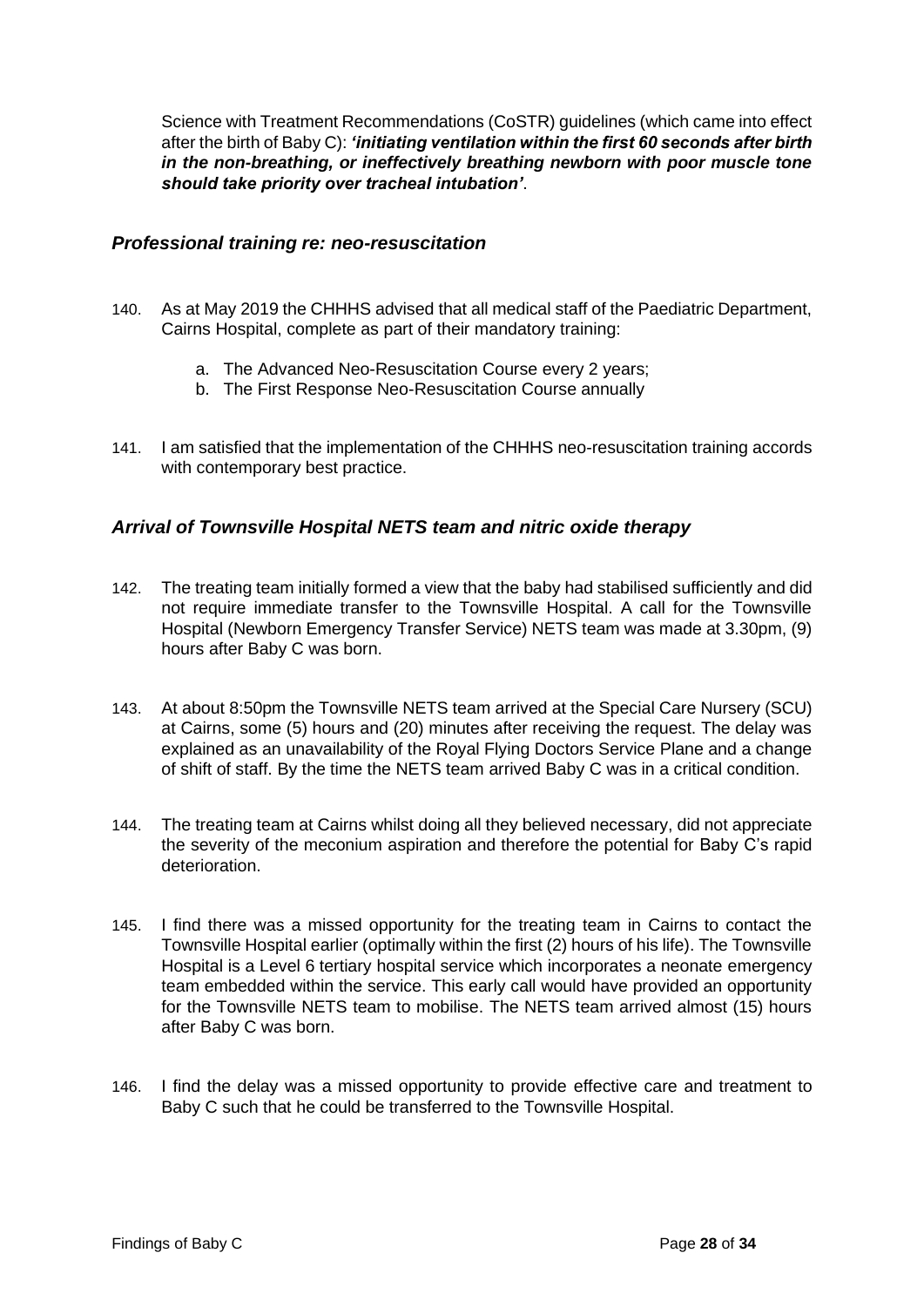Science with Treatment Recommendations (CoSTR) guidelines (which came into effect after the birth of Baby C): *'initiating ventilation within the first 60 seconds after birth in the non-breathing, or ineffectively breathing newborn with poor muscle tone should take priority over tracheal intubation'*.

#### <span id="page-30-0"></span>*Professional training re: neo-resuscitation*

- 140. As at May 2019 the CHHHS advised that all medical staff of the Paediatric Department, Cairns Hospital, complete as part of their mandatory training:
	- a. The Advanced Neo-Resuscitation Course every 2 years;
	- b. The First Response Neo-Resuscitation Course annually
- 141. I am satisfied that the implementation of the CHHHS neo-resuscitation training accords with contemporary best practice.

#### <span id="page-30-1"></span>*Arrival of Townsville Hospital NETS team and nitric oxide therapy*

- 142. The treating team initially formed a view that the baby had stabilised sufficiently and did not require immediate transfer to the Townsville Hospital. A call for the Townsville Hospital (Newborn Emergency Transfer Service) NETS team was made at 3.30pm, (9) hours after Baby C was born.
- 143. At about 8:50pm the Townsville NETS team arrived at the Special Care Nursery (SCU) at Cairns, some (5) hours and (20) minutes after receiving the request. The delay was explained as an unavailability of the Royal Flying Doctors Service Plane and a change of shift of staff. By the time the NETS team arrived Baby C was in a critical condition.
- 144. The treating team at Cairns whilst doing all they believed necessary, did not appreciate the severity of the meconium aspiration and therefore the potential for Baby C's rapid deterioration.
- 145. I find there was a missed opportunity for the treating team in Cairns to contact the Townsville Hospital earlier (optimally within the first (2) hours of his life). The Townsville Hospital is a Level 6 tertiary hospital service which incorporates a neonate emergency team embedded within the service. This early call would have provided an opportunity for the Townsville NETS team to mobilise. The NETS team arrived almost (15) hours after Baby C was born.
- 146. I find the delay was a missed opportunity to provide effective care and treatment to Baby C such that he could be transferred to the Townsville Hospital.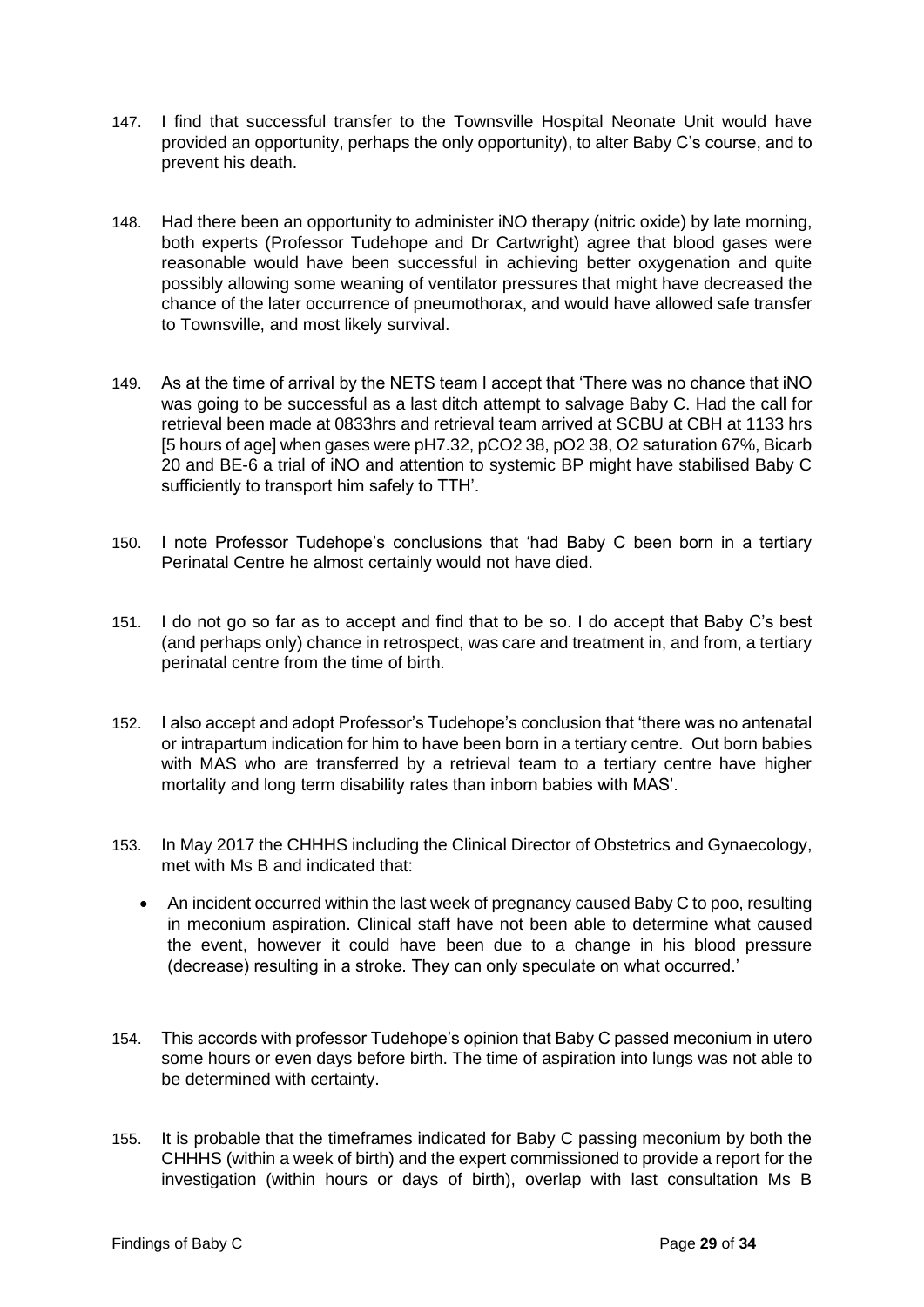- 147. I find that successful transfer to the Townsville Hospital Neonate Unit would have provided an opportunity, perhaps the only opportunity), to alter Baby C's course, and to prevent his death.
- 148. Had there been an opportunity to administer iNO therapy (nitric oxide) by late morning, both experts (Professor Tudehope and Dr Cartwright) agree that blood gases were reasonable would have been successful in achieving better oxygenation and quite possibly allowing some weaning of ventilator pressures that might have decreased the chance of the later occurrence of pneumothorax, and would have allowed safe transfer to Townsville, and most likely survival.
- 149. As at the time of arrival by the NETS team I accept that 'There was no chance that iNO was going to be successful as a last ditch attempt to salvage Baby C. Had the call for retrieval been made at 0833hrs and retrieval team arrived at SCBU at CBH at 1133 hrs [5 hours of age] when gases were pH7.32, pCO2 38, pO2 38, O2 saturation 67%, Bicarb 20 and BE-6 a trial of iNO and attention to systemic BP might have stabilised Baby C sufficiently to transport him safely to TTH'.
- 150. I note Professor Tudehope's conclusions that 'had Baby C been born in a tertiary Perinatal Centre he almost certainly would not have died.
- 151. I do not go so far as to accept and find that to be so. I do accept that Baby C's best (and perhaps only) chance in retrospect, was care and treatment in, and from, a tertiary perinatal centre from the time of birth.
- 152. I also accept and adopt Professor's Tudehope's conclusion that 'there was no antenatal or intrapartum indication for him to have been born in a tertiary centre. Out born babies with MAS who are transferred by a retrieval team to a tertiary centre have higher mortality and long term disability rates than inborn babies with MAS'.
- 153. In May 2017 the CHHHS including the Clinical Director of Obstetrics and Gynaecology, met with Ms B and indicated that:
	- An incident occurred within the last week of pregnancy caused Baby C to poo, resulting in meconium aspiration. Clinical staff have not been able to determine what caused the event, however it could have been due to a change in his blood pressure (decrease) resulting in a stroke. They can only speculate on what occurred.'
- 154. This accords with professor Tudehope's opinion that Baby C passed meconium in utero some hours or even days before birth. The time of aspiration into lungs was not able to be determined with certainty.
- 155. It is probable that the timeframes indicated for Baby C passing meconium by both the CHHHS (within a week of birth) and the expert commissioned to provide a report for the investigation (within hours or days of birth), overlap with last consultation Ms B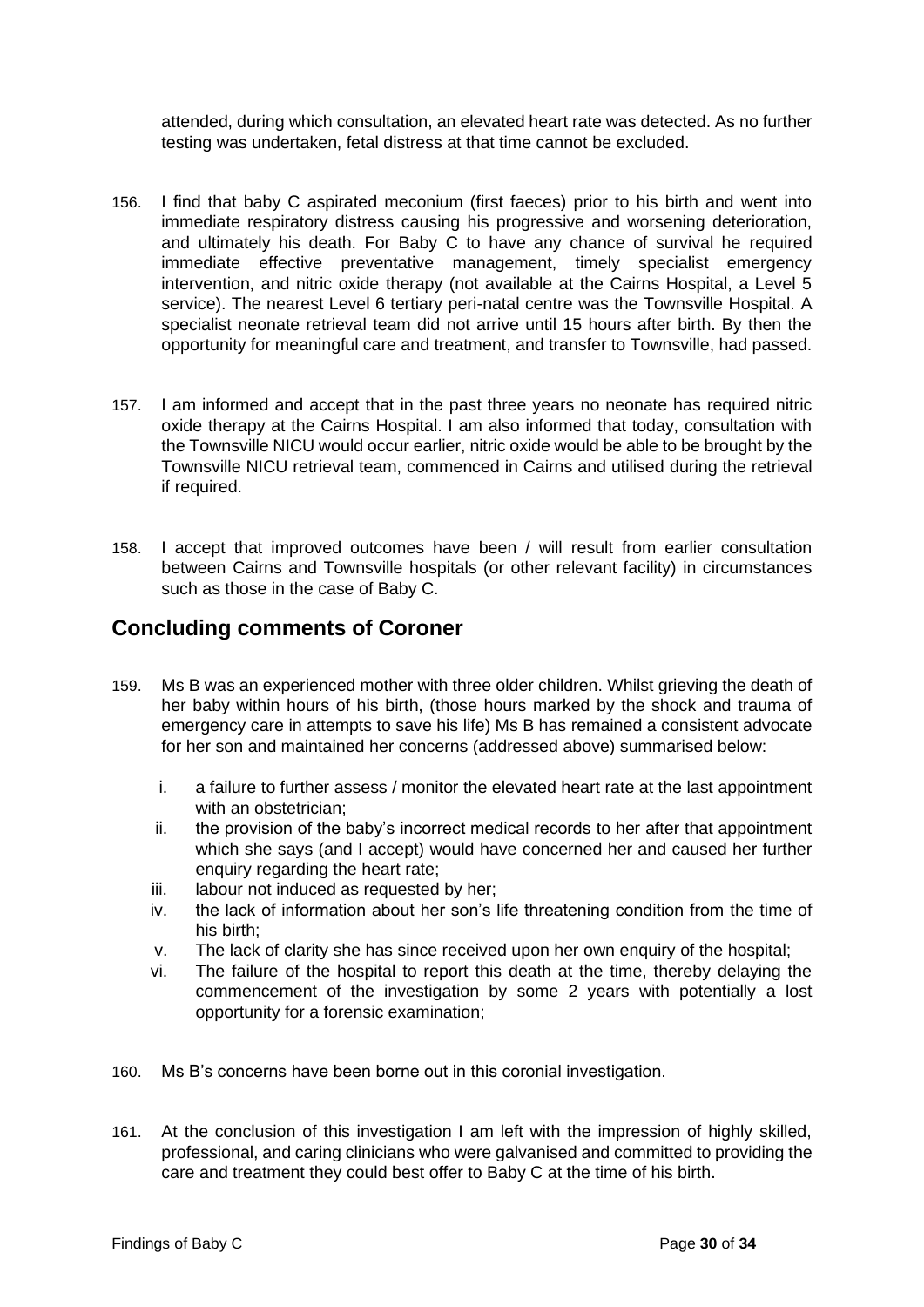attended, during which consultation, an elevated heart rate was detected. As no further testing was undertaken, fetal distress at that time cannot be excluded.

- 156. I find that baby C aspirated meconium (first faeces) prior to his birth and went into immediate respiratory distress causing his progressive and worsening deterioration, and ultimately his death. For Baby C to have any chance of survival he required immediate effective preventative management, timely specialist emergency intervention, and nitric oxide therapy (not available at the Cairns Hospital, a Level 5 service). The nearest Level 6 tertiary peri-natal centre was the Townsville Hospital. A specialist neonate retrieval team did not arrive until 15 hours after birth. By then the opportunity for meaningful care and treatment, and transfer to Townsville, had passed.
- 157. I am informed and accept that in the past three years no neonate has required nitric oxide therapy at the Cairns Hospital. I am also informed that today, consultation with the Townsville NICU would occur earlier, nitric oxide would be able to be brought by the Townsville NICU retrieval team, commenced in Cairns and utilised during the retrieval if required.
- 158. I accept that improved outcomes have been / will result from earlier consultation between Cairns and Townsville hospitals (or other relevant facility) in circumstances such as those in the case of Baby C.

## <span id="page-32-0"></span>**Concluding comments of Coroner**

- 159. Ms B was an experienced mother with three older children. Whilst grieving the death of her baby within hours of his birth, (those hours marked by the shock and trauma of emergency care in attempts to save his life) Ms B has remained a consistent advocate for her son and maintained her concerns (addressed above) summarised below:
	- i. a failure to further assess / monitor the elevated heart rate at the last appointment with an obstetrician;
	- ii. the provision of the baby's incorrect medical records to her after that appointment which she says (and I accept) would have concerned her and caused her further enquiry regarding the heart rate;
	- iii. labour not induced as requested by her;
	- iv. the lack of information about her son's life threatening condition from the time of his birth;
	- v. The lack of clarity she has since received upon her own enquiry of the hospital;
	- vi. The failure of the hospital to report this death at the time, thereby delaying the commencement of the investigation by some 2 years with potentially a lost opportunity for a forensic examination;
- 160. Ms B's concerns have been borne out in this coronial investigation.
- 161. At the conclusion of this investigation I am left with the impression of highly skilled, professional, and caring clinicians who were galvanised and committed to providing the care and treatment they could best offer to Baby C at the time of his birth.